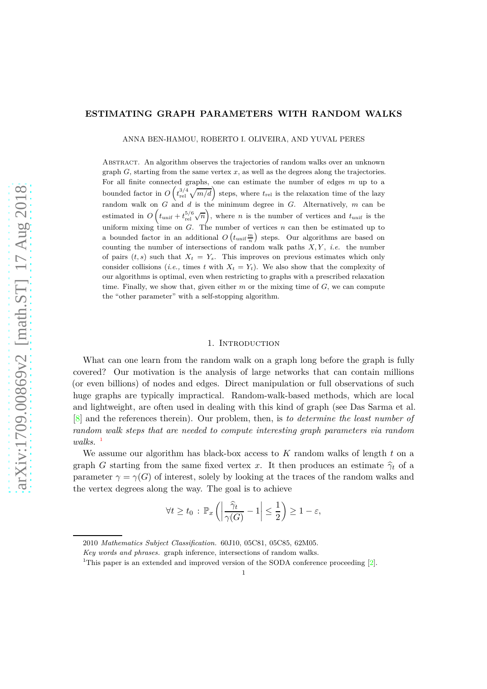## **ESTIMATING GRAPH PARAMETERS WITH RANDOM WALKS**

ANNA BEN-HAMOU, ROBERTO I. OLIVEIRA, AND YUVAL PERES

Abstract. An algorithm observes the trajectories of random walks over an unknown graph  $G$ , starting from the same vertex  $x$ , as well as the degrees along the trajectories. For all finite connected graphs, one can estimate the number of edges *m* up to a bounded factor in  $O\left(t_{rel}^{3/4}\sqrt{m/d}\right)$  steps, where  $t_{rel}$  is the relaxation time of the lazy random walk on *G* and *d* is the minimum degree in *G*. Alternatively, *m* can be estimated in  $O(t_{\text{unif}} + t_{\text{rel}}^{5/6}\sqrt{n})$ , where *n* is the number of vertices and  $t_{\text{unif}}$  is the uniform mixing time on  $G$ . The number of vertices  $n$  can then be estimated up to a bounded factor in an additional  $O(t_{\text{unif}}\frac{m}{n})$  steps. Our algorithms are based on counting the number of intersections of random walk paths *X, Y* , *i.e.* the number of pairs  $(t, s)$  such that  $X_t = Y_s$ . This improves on previous estimates which only consider collisions (*i.e.*, times *t* with  $X_t = Y_t$ ). We also show that the complexity of our algorithms is optimal, even when restricting to graphs with a prescribed relaxation time. Finally, we show that, given either *m* or the mixing time of *G*, we can compute the "other parameter" with a self-stopping algorithm.

#### 1. INTRODUCTION

What can one learn from the random walk on a graph long before the graph is fully covered? Our motivation is the analysis of large networks that can contain millions (or even billions) of nodes and edges. Direct manipulation or full observations of such huge graphs are typically impractical. Random-walk-based methods, which are local and lightweight, are often used in dealing with this kind of graph (see Das Sarma et al. [\[8\]](#page-21-0) and the references therein). Our problem, then, is *to determine the least number of random walk steps that are needed to compute interesting graph parameters via random*  $walks.$ 

We assume our algorithm has black-box access to *K* random walks of length *t* on a graph *G* starting from the same fixed vertex *x*. It then produces an estimate  $\hat{\gamma}_t$  of a parameter  $\gamma = \gamma(G)$  of interest, solely by looking at the traces of the random walks and the vertex degrees along the way. The goal is to achieve

$$
\forall t \ge t_0 : \mathbb{P}_x \left( \left| \frac{\widehat{\gamma}_t}{\gamma(G)} - 1 \right| \le \frac{1}{2} \right) \ge 1 - \varepsilon,
$$

<sup>2010</sup> *Mathematics Subject Classification.* 60J10, 05C81, 05C85, 62M05.

*Key words and phrases.* graph inference, intersections of random walks.

<span id="page-0-0"></span><sup>&</sup>lt;sup>1</sup>This paper is an extended and improved version of the SODA conference proceeding [\[2](#page-21-1)].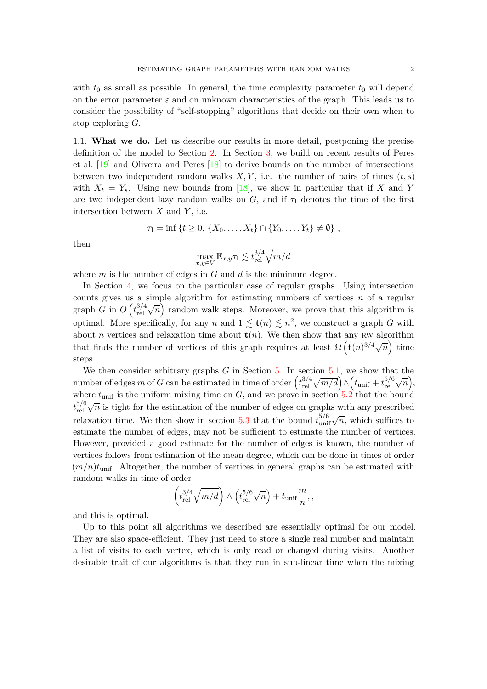with  $t_0$  as small as possible. In general, the time complexity parameter  $t_0$  will depend on the error parameter  $\varepsilon$  and on unknown characteristics of the graph. This leads us to consider the possibility of "self-stopping" algorithms that decide on their own when to stop exploring *G*.

1.1. **What we do.** Let us describe our results in more detail, postponing the precise definition of the model to Section [2.](#page-3-0) In Section [3,](#page-4-0) we build on recent results of Peres et al. [\[19\]](#page-22-0) and Oliveira and Peres [\[18](#page-22-1)] to derive bounds on the number of intersections between two independent random walks  $X, Y$ , i.e. the number of pairs of times  $(t, s)$ with  $X_t = Y_s$ . Using new bounds from [\[18\]](#page-22-1), we show in particular that if X and Y are two independent lazy random walks on  $G$ , and if  $\tau_1$  denotes the time of the first intersection between *X* and *Y* , i.e.

$$
\tau_1 = \inf \{ t \ge 0, \, \{X_0, \ldots, X_t\} \cap \{Y_0, \ldots, Y_t\} \neq \emptyset \},
$$

then

$$
\max_{x,y \in V} \mathbb{E}_{x,y} \tau_1 \lesssim t_{\mathrm{rel}}^{3/4} \sqrt{m/d}
$$

where *m* is the number of edges in *G* and *d* is the minimum degree.

In Section [4,](#page-9-0) we focus on the particular case of regular graphs. Using intersection counts gives us a simple algorithm for estimating numbers of vertices *n* of a regular graph *G* in  $O(t_{rel}^{3/4})$  $\sqrt[3/4]{n}$  random walk steps. Moreover, we prove that this algorithm is optimal. More specifically, for any *n* and  $1 \leq \mathbf{t}(n) \leq n^2$ , we construct a graph *G* with about *n* vertices and relaxation time about  $t(n)$ . We then show that any RW algorithm that finds the number of vertices of this graph requires at least  $\Omega\left(\mathbf{t}(n)^{3/4}\sqrt{n}\right)$  time steps.

We then consider arbitrary graphs *G* in Section [5.](#page-13-0) In section [5.1,](#page-13-1) we show that the number of edges *m* of *G* can be estimated in time of order  $\left(t_{rel}^{3/4}\right)$  $\frac{3/4}{\rm rel} \sqrt{m/d}$ <sup>2</sup>  $\left(t_{\text{unif}} + t_{\text{rel}}^{5/6}\right)$  $_{\rm rel}^{\rm 5/6}\sqrt{n}$ , where  $t_{\text{unif}}$  is the uniform mixing time on  $G$ , and we prove in section  $5.2$  that the bound  $t_{\rm rel}^{5/6}$  $_{rel}^{5/6}\sqrt{n}$  is tight for the estimation of the number of edges on graphs with any prescribed relaxation time. We then show in section  $5.3$  that the bound  $t_{\text{uni}}^{5/6}$  $\frac{5}{6}$   $\sqrt{n}$ , which suffices to estimate the number of edges, may not be sufficient to estimate the number of vertices. However, provided a good estimate for the number of edges is known, the number of vertices follows from estimation of the mean degree, which can be done in times of order  $(m/n)t_{\text{unif}}$ . Altogether, the number of vertices in general graphs can be estimated with random walks in time of order

$$
\left(t_{\mathrm{rel}}^{3/4}\sqrt{m/d}\right)\wedge\left(t_{\mathrm{rel}}^{5/6}\sqrt{n}\right)+t_{\mathrm{unif}}\frac{m}{n},\label{eq:4}
$$

and this is optimal.

Up to this point all algorithms we described are essentially optimal for our model. They are also space-efficient. They just need to store a single real number and maintain a list of visits to each vertex, which is only read or changed during visits. Another desirable trait of our algorithms is that they run in sub-linear time when the mixing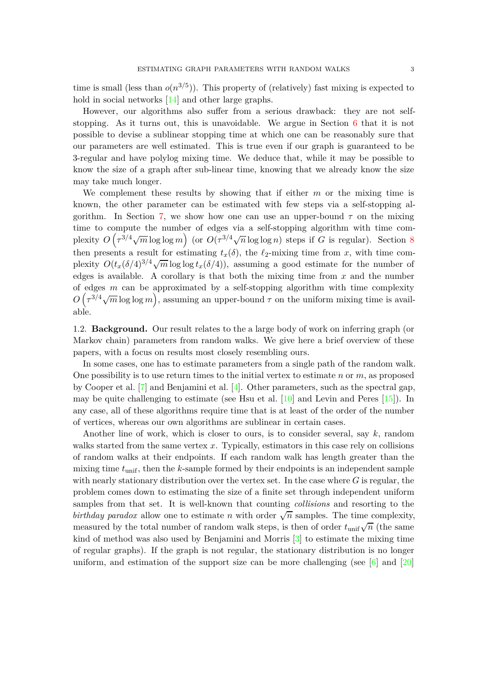time is small (less than  $o(n^{3/5})$ ). This property of (relatively) fast mixing is expected to hold in social networks [\[14](#page-22-2)] and other large graphs.

However, our algorithms also suffer from a serious drawback: they are not selfstopping. As it turns out, this is unavoidable. We argue in Section [6](#page-15-0) that it is not possible to devise a sublinear stopping time at which one can be reasonably sure that our parameters are well estimated. This is true even if our graph is guaranteed to be 3-regular and have polylog mixing time. We deduce that, while it may be possible to know the size of a graph after sub-linear time, knowing that we already know the size may take much longer.

We complement these results by showing that if either *m* or the mixing time is known, the other parameter can be estimated with few steps via a self-stopping al-gorithm. In Section [7,](#page-17-0) we show how one can use an upper-bound  $\tau$  on the mixing time to compute the number of edges via a self-stopping algorithm with time complexity  $O\left(\tau^{3/4}\sqrt{m}\log\log m\right)$  (or  $O(\tau^{3/4}\sqrt{n}\log\log n)$  steps if *G* is regular). Section [8](#page-18-0) then presents a result for estimating  $t_x(\delta)$ , the  $\ell_2$ -mixing time from *x*, with time complexity  $O(t_x(\delta/4)^{3/4}\sqrt{m}\log\log t_x(\delta/4))$ , assuming a good estimate for the number of edges is available. A corollary is that both the mixing time from *x* and the number of edges *m* can be approximated by a self-stopping algorithm with time complexity  $O\left(\tau^{3/4}\sqrt{m}\log\log m\right)$ , assuming an upper-bound  $\tau$  on the uniform mixing time is available.

1.2. **Background.** Our result relates to the a large body of work on inferring graph (or Markov chain) parameters from random walks. We give here a brief overview of these papers, with a focus on results most closely resembling ours.

In some cases, one has to estimate parameters from a single path of the random walk. One possibility is to use return times to the initial vertex to estimate *n* or *m*, as proposed by Cooper et al.  $[7]$  and Benjamini et al.  $[4]$ . Other parameters, such as the spectral gap, may be quite challenging to estimate (see Hsu et al.  $[10]$  and Levin and Peres  $[15]$ ). In any case, all of these algorithms require time that is at least of the order of the number of vertices, whereas our own algorithms are sublinear in certain cases.

Another line of work, which is closer to ours, is to consider several, say *k*, random walks started from the same vertex *x*. Typically, estimators in this case rely on collisions of random walks at their endpoints. If each random walk has length greater than the mixing time *t*unif, then the *k*-sample formed by their endpoints is an independent sample with nearly stationary distribution over the vertex set. In the case where *G* is regular, the problem comes down to estimating the size of a finite set through independent uniform samples from that set. It is well-known that counting *collisions* and resorting to the *birthday paradox* allow one to estimate *n* with order  $\sqrt{n}$  samples. The time complexity, measured by the total number of random walk steps, is then of order  $t_{\text{unif}}\sqrt{n}$  (the same kind of method was also used by Benjamini and Morris [\[3](#page-21-4)] to estimate the mixing time of regular graphs). If the graph is not regular, the stationary distribution is no longer uniform, and estimation of the support size can be more challenging (see [\[6](#page-21-5)] and [\[20\]](#page-22-5)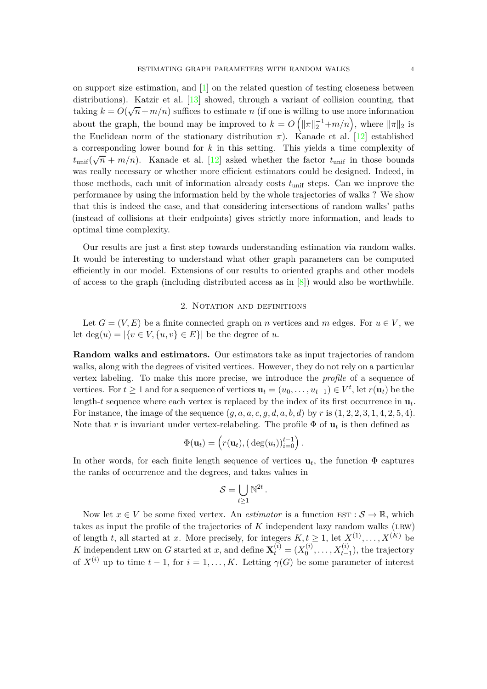on support size estimation, and  $[1]$  on the related question of testing closeness between distributions). Katzir et al. [\[13](#page-22-6)] showed, through a variant of collision counting, that taking  $k = O(\sqrt{n} + m/n)$  suffices to estimate *n* (if one is willing to use more information about the graph, the bound may be improved to  $k = O\left(\frac{\|\pi\|_2^{-1} + m}{n}\right)$ , where  $\|\pi\|_2$  is the Euclidean norm of the stationary distribution  $\pi$ ). Kanade et al. [\[12\]](#page-22-7) established a corresponding lower bound for *k* in this setting. This yields a time complexity of  $t_{\text{unif}}(\sqrt{n} + m/n)$ . Kanade et al. [\[12\]](#page-22-7) asked whether the factor  $t_{\text{unif}}$  in those bounds was really necessary or whether more efficient estimators could be designed. Indeed, in those methods, each unit of information already costs *t*unif steps. Can we improve the performance by using the information held by the whole trajectories of walks ? We show that this is indeed the case, and that considering intersections of random walks' paths (instead of collisions at their endpoints) gives strictly more information, and leads to optimal time complexity.

Our results are just a first step towards understanding estimation via random walks. It would be interesting to understand what other graph parameters can be computed efficiently in our model. Extensions of our results to oriented graphs and other models of access to the graph (including distributed access as in  $[8]$ ) would also be worthwhile.

# 2. NOTATION AND DEFINITIONS

<span id="page-3-0"></span>Let  $G = (V, E)$  be a finite connected graph on *n* vertices and *m* edges. For  $u \in V$ , we let deg(*u*) =  $|\{v \in V, \{u, v\} \in E\}|$  be the degree of *u*.

**Random walks and estimators.** Our estimators take as input trajectories of random walks, along with the degrees of visited vertices. However, they do not rely on a particular vertex labeling. To make this more precise, we introduce the *profile* of a sequence of vertices. For  $t \geq 1$  and for a sequence of vertices  $\mathbf{u}_t = (u_0, \dots, u_{t-1}) \in V^t$ , let  $r(\mathbf{u}_t)$  be the length-*t* sequence where each vertex is replaced by the index of its first occurrence in  $\mathbf{u}_t$ . For instance, the image of the sequence  $(g, a, a, c, g, d, a, b, d)$  by *r* is  $(1, 2, 2, 3, 1, 4, 2, 5, 4)$ . Note that *r* is invariant under vertex-relabeling. The profile  $\Phi$  of  $\mathbf{u}_t$  is then defined as

$$
\Phi(\mathbf{u}_t) = \left(r(\mathbf{u}_t), (\,\deg(u_i))_{i=0}^{t-1}\right).
$$

In other words, for each finite length sequence of vertices  $\mathbf{u}_t$ , the function  $\Phi$  captures the ranks of occurrence and the degrees, and takes values in

$$
\mathcal{S} = \bigcup_{t \geq 1} \mathbb{N}^{2t} \,.
$$

Now let  $x \in V$  be some fixed vertex. An *estimator* is a function  $\text{EST}: \mathcal{S} \to \mathbb{R}$ , which takes as input the profile of the trajectories of  $K$  independent lazy random walks (LRW) of length *t*, all started at *x*. More precisely, for integers  $K, t \geq 1$ , let  $X^{(1)}, \ldots, X^{(K)}$  be *K* independent LRW on *G* started at *x*, and define  $\mathbf{X}_t^{(i)} = (X_0^{(i)} \times Y_t^{(i)})$  $\chi_0^{(i)}, \ldots, X_{t-1}^{(i)}$ , the trajectory of  $X^{(i)}$  up to time  $t-1$ , for  $i=1,\ldots,K$ . Letting  $\gamma(G)$  be some parameter of interest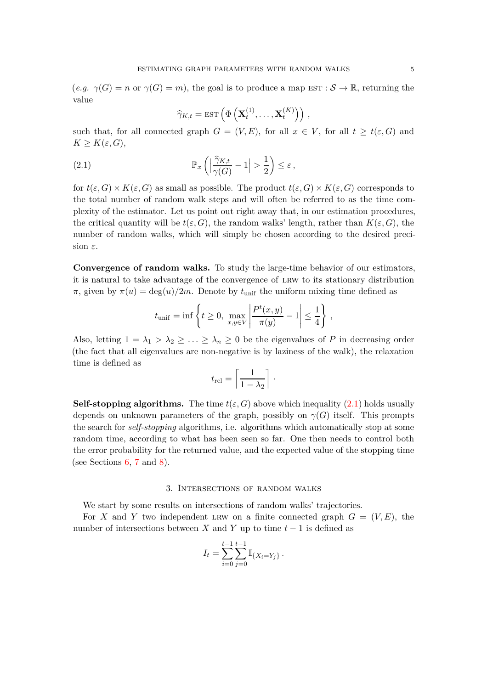$(e.g. \gamma(G) = n \text{ or } \gamma(G) = m)$ , the goal is to produce a map EST :  $S \to \mathbb{R}$ , returning the value

<span id="page-4-1"></span>
$$
\widehat{\gamma}_{K,t} = \text{EST}\left(\Phi\left(\mathbf{X}_t^{(1)},\ldots,\mathbf{X}_t^{(K)}\right)\right),
$$

such that, for all connected graph  $G = (V, E)$ , for all  $x \in V$ , for all  $t \ge t(\varepsilon, G)$  and  $K \geq K(\varepsilon, G),$ 

(2.1) 
$$
\mathbb{P}_x\left(\left|\frac{\hat{\gamma}_{K,t}}{\gamma(G)}-1\right|>\frac{1}{2}\right)\leq\varepsilon,
$$

for  $t(\varepsilon, G) \times K(\varepsilon, G)$  as small as possible. The product  $t(\varepsilon, G) \times K(\varepsilon, G)$  corresponds to the total number of random walk steps and will often be referred to as the time complexity of the estimator. Let us point out right away that, in our estimation procedures, the critical quantity will be  $t(\varepsilon, G)$ , the random walks' length, rather than  $K(\varepsilon, G)$ , the number of random walks, which will simply be chosen according to the desired precision *ε*.

**Convergence of random walks.** To study the large-time behavior of our estimators, it is natural to take advantage of the convergence of lrw to its stationary distribution *π*, given by  $π(u) = deg(u)/2m$ . Denote by  $t_{\text{unif}}$  the uniform mixing time defined as

$$
t_{\text{unif}} = \inf \left\{ t \ge 0, \, \max_{x,y \in V} \left| \frac{P^t(x,y)}{\pi(y)} - 1 \right| \le \frac{1}{4} \right\},\,
$$

Also, letting  $1 = \lambda_1 > \lambda_2 \geq \ldots \geq \lambda_n \geq 0$  be the eigenvalues of P in decreasing order (the fact that all eigenvalues are non-negative is by laziness of the walk), the relaxation time is defined as

$$
t_{\rm rel} = \left\lceil \frac{1}{1 - \lambda_2} \right\rceil.
$$

**Self-stopping algorithms.** The time  $t(\varepsilon, G)$  above which inequality [\(2.1\)](#page-4-1) holds usually depends on unknown parameters of the graph, possibly on  $\gamma(G)$  itself. This prompts the search for *self-stopping* algorithms, i.e. algorithms which automatically stop at some random time, according to what has been seen so far. One then needs to control both the error probability for the returned value, and the expected value of the stopping time (see Sections  $6, 7$  $6, 7$  $6, 7$  and  $8$ ).

### 3. Intersections of random walks

<span id="page-4-0"></span>We start by some results on intersections of random walks' trajectories.

For *X* and *Y* two independent LRW on a finite connected graph  $G = (V, E)$ , the number of intersections between *X* and *Y* up to time  $t-1$  is defined as

$$
I_t = \sum_{i=0}^{t-1} \sum_{j=0}^{t-1} \mathbb{I}_{\{X_i = Y_j\}}
$$

*.*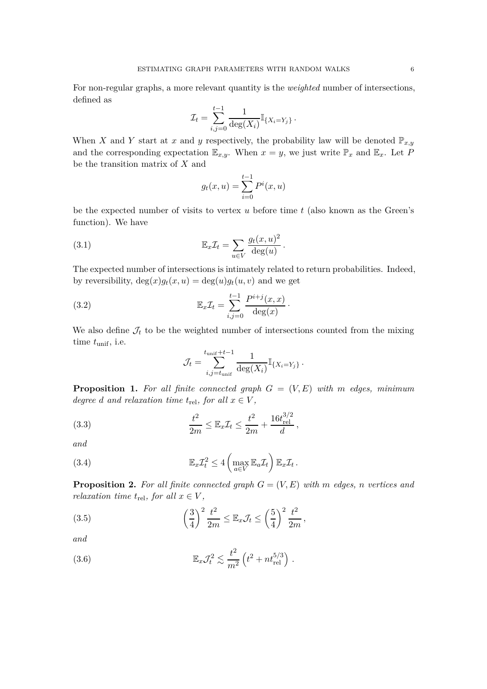For non-regular graphs, a more relevant quantity is the *weighted* number of intersections, defined as

$$
\mathcal{I}_t = \sum_{i,j=0}^{t-1} \frac{1}{\deg(X_i)} \mathbb{I}_{\{X_i = Y_j\}}
$$

*.*

When *X* and *Y* start at *x* and *y* respectively, the probability law will be denoted  $\mathbb{P}_{x,y}$ and the corresponding expectation  $\mathbb{E}_{x,y}$ . When  $x = y$ , we just write  $\mathbb{P}_x$  and  $\mathbb{E}_x$ . Let P be the transition matrix of *X* and

$$
g_t(x, u) = \sum_{i=0}^{t-1} P^i(x, u)
$$

be the expected number of visits to vertex *u* before time *t* (also known as the Green's function). We have

(3.1) 
$$
\mathbb{E}_x \mathcal{I}_t = \sum_{u \in V} \frac{g_t(x, u)^2}{\deg(u)}.
$$

The expected number of intersections is intimately related to return probabilities. Indeed, by reversibility,  $deg(x)g_t(x, u) = deg(u)g_t(u, v)$  and we get

(3.2) 
$$
\mathbb{E}_x \mathcal{I}_t = \sum_{i,j=0}^{t-1} \frac{P^{i+j}(x,x)}{\deg(x)}.
$$

We also define  $\mathcal{J}_t$  to be the weighted number of intersections counted from the mixing time *t*unif, i.e.

<span id="page-5-4"></span><span id="page-5-3"></span><span id="page-5-2"></span>
$$
\mathcal{J}_t = \sum_{i,j=t_{\text{unif}}}^{t_{\text{unif}}+t-1} \frac{1}{\deg(X_i)} \mathbb{I}_{\{X_i = Y_j\}}.
$$

<span id="page-5-0"></span>**Proposition 1.** For all finite connected graph  $G = (V, E)$  with m edges, minimum *degree d* and relaxation time  $t_{rel}$ , for all  $x \in V$ ,

(3.3) 
$$
\frac{t^2}{2m} \leq \mathbb{E}_x \mathcal{I}_t \leq \frac{t^2}{2m} + \frac{16t_{\text{rel}}^{3/2}}{d},
$$

*and*

(3.4) 
$$
\mathbb{E}_x \mathcal{I}_t^2 \leq 4 \left( \max_{a \in V} \mathbb{E}_a \mathcal{I}_t \right) \mathbb{E}_x \mathcal{I}_t.
$$

<span id="page-5-1"></span>**Proposition 2.** For all finite connected graph  $G = (V, E)$  with m edges, n vertices and *relaxation time*  $t_{rel}$ *, for all*  $x \in V$ *,* 

(3.5) 
$$
\left(\frac{3}{4}\right)^2 \frac{t^2}{2m} \leq \mathbb{E}_x \mathcal{J}_t \leq \left(\frac{5}{4}\right)^2 \frac{t^2}{2m},
$$

*and*

<span id="page-5-5"></span>(3.6) 
$$
\mathbb{E}_x \mathcal{J}_t^2 \lesssim \frac{t^2}{m^2} \left( t^2 + n t_{\text{rel}}^{5/3} \right) .
$$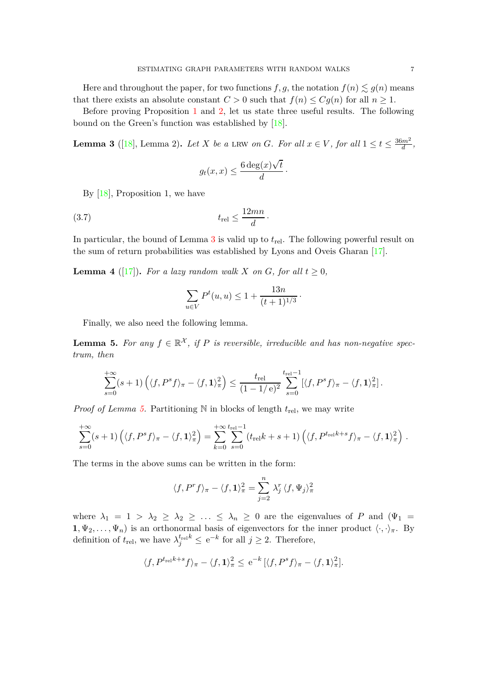Here and throughout the paper, for two functions  $f, g$ , the notation  $f(n) \leq g(n)$  means that there exists an absolute constant  $C > 0$  such that  $f(n) \leq Cg(n)$  for all  $n \geq 1$ .

Before proving Proposition [1](#page-5-0) and [2,](#page-5-1) let us state three useful results. The following bound on the Green's function was established by [\[18](#page-22-1)].

<span id="page-6-0"></span>**Lemma 3** ([\[18](#page-22-1)], Lemma 2). *Let X be a* LRW *on G. For all*  $x \in V$ *, for all*  $1 \le t \le \frac{36m^2}{d}$  $\frac{m^2}{d}$ 

<span id="page-6-3"></span>
$$
g_t(x,x) \leq \frac{6 \deg(x) \sqrt{t}}{d}.
$$

By  $[18]$ , Proposition 1, we have

$$
(3.7) \t t_{\text{rel}} \leq \frac{12mn}{d}.
$$

In particular, the bound of Lemma [3](#page-6-0) is valid up to  $t_{rel}$ . The following powerful result on the sum of return probabilities was established by Lyons and Oveis Gharan [\[17\]](#page-22-8).

<span id="page-6-2"></span>**Lemma 4** ([\[17](#page-22-8)]). For a lazy random walk *X* on *G*, for all  $t \geq 0$ ,

$$
\sum_{u \in V} P^t(u, u) \le 1 + \frac{13n}{(t+1)^{1/3}}.
$$

Finally, we also need the following lemma.

<span id="page-6-1"></span>**Lemma 5.** For any  $f \in \mathbb{R}^{\mathcal{X}}$ , if P is reversible, irreducible and has non-negative spec*trum, then*

$$
\sum_{s=0}^{+\infty} (s+1) \left( \langle f, P^s f \rangle_{\pi} - \langle f, \mathbf{1} \rangle_{\pi}^2 \right) \leq \frac{t_{\text{rel}}}{(1-1/e)^2} \sum_{s=0}^{t_{\text{rel}}-1} \left[ \langle f, P^s f \rangle_{\pi} - \langle f, \mathbf{1} \rangle_{\pi}^2 \right].
$$

*Proof of Lemma [5.](#page-6-1)* Partitioning N in blocks of length  $t_{rel}$ , we may write

$$
\sum_{s=0}^{+\infty} (s+1) \left( \langle f, P^s f \rangle_{\pi} - \langle f, \mathbf{1} \rangle_{\pi}^2 \right) = \sum_{k=0}^{+\infty} \sum_{s=0}^{t_{\rm rel}-1} (t_{\rm rel} k + s + 1) \left( \langle f, P^{t_{\rm rel} k + s} f \rangle_{\pi} - \langle f, \mathbf{1} \rangle_{\pi}^2 \right).
$$

The terms in the above sums can be written in the form:

$$
\langle f, P^r f \rangle_{\pi} - \langle f, \mathbf{1} \rangle_{\pi}^2 = \sum_{j=2}^n \lambda_j^r \langle f, \Psi_j \rangle_{\pi}^2
$$

where  $\lambda_1 = 1 > \lambda_2 \geq \lambda_2 \geq \ldots \leq \lambda_n \geq 0$  are the eigenvalues of *P* and  $(\Psi_1 =$  $1, \Psi_2, \ldots, \Psi_n$  is an orthonormal basis of eigenvectors for the inner product  $\langle \cdot, \cdot \rangle_{\pi}$ . By definition of  $t_{rel}$ , we have  $\lambda_j^{t_{rel}k} \le e^{-k}$  for all  $j \ge 2$ . Therefore,

$$
\langle f, P^{t_{\rm rel}k+s} f \rangle_{\pi} - \langle f, \mathbf{1} \rangle_{\pi}^2 \le e^{-k} \left[ \langle f, P^s f \rangle_{\pi} - \langle f, \mathbf{1} \rangle_{\pi}^2 \right].
$$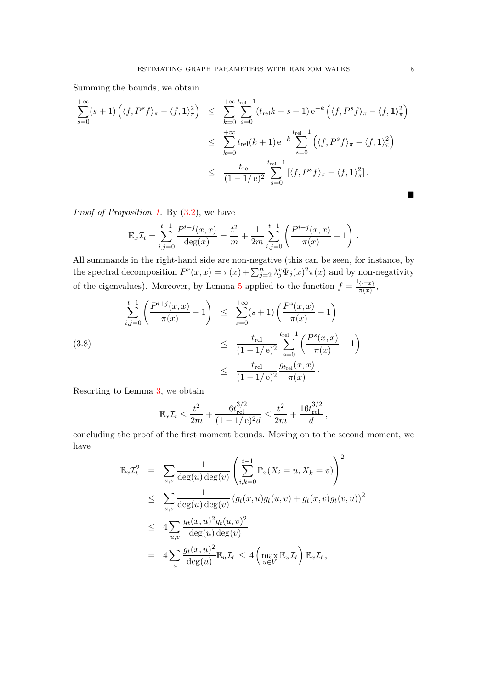Summing the bounds, we obtain

$$
\sum_{s=0}^{+\infty} (s+1) \left( \langle f, P^s f \rangle_{\pi} - \langle f, \mathbf{1} \rangle_{\pi}^2 \right) \leq \sum_{k=0}^{+\infty} \sum_{s=0}^{t_{\text{rel}}-1} (t_{\text{rel}}k+s+1) e^{-k} \left( \langle f, P^s f \rangle_{\pi} - \langle f, \mathbf{1} \rangle_{\pi}^2 \right)
$$
  

$$
\leq \sum_{k=0}^{+\infty} t_{\text{rel}}(k+1) e^{-k} \sum_{s=0}^{t_{\text{rel}}-1} \left( \langle f, P^s f \rangle_{\pi} - \langle f, \mathbf{1} \rangle_{\pi}^2 \right)
$$
  

$$
\leq \frac{t_{\text{rel}}}{(1-1/e)^2} \sum_{s=0}^{t_{\text{rel}}-1} \left[ \langle f, P^s f \rangle_{\pi} - \langle f, \mathbf{1} \rangle_{\pi}^2 \right].
$$

*Proof of Proposition [1.](#page-5-0)* By [\(3.2\)](#page-5-2), we have

$$
\mathbb{E}_x \mathcal{I}_t = \sum_{i,j=0}^{t-1} \frac{P^{i+j}(x,x)}{\deg(x)} = \frac{t^2}{m} + \frac{1}{2m} \sum_{i,j=0}^{t-1} \left( \frac{P^{i+j}(x,x)}{\pi(x)} - 1 \right).
$$

All summands in the right-hand side are non-negative (this can be seen, for instance, by the spectral decomposition  $P^r(x, x) = \pi(x) + \sum_{j=2}^n \lambda_j^r \Psi_j(x)^2 \pi(x)$  and by non-negativity of the eigenvalues). Moreover, by Lemma [5](#page-6-1) applied to the function  $f = \frac{\mathbb{I}_{\{-x\}}}{\pi(r)}$  $rac{\{\cdot = x\}}{\pi(x)},$ 

<span id="page-7-0"></span>
$$
\sum_{i,j=0}^{t-1} \left( \frac{P^{i+j}(x,x)}{\pi(x)} - 1 \right) \leq \sum_{s=0}^{+\infty} (s+1) \left( \frac{P^s(x,x)}{\pi(x)} - 1 \right)
$$
\n
$$
\leq \frac{t_{\text{rel}}}{(1-1/e)^2} \sum_{s=0}^{t_{\text{rel}}-1} \left( \frac{P^s(x,x)}{\pi(x)} - 1 \right)
$$
\n
$$
\leq \frac{t_{\text{rel}}}{(1-1/e)^2} \sum_{s=0}^{t_{\text{rel}}}(x,x)} \frac{g_{t_{\text{rel}}}(x,x)}{\pi(x)}.
$$

Resorting to Lemma [3,](#page-6-0) we obtain

$$
\mathbb{E}_x \mathcal{I}_t \le \frac{t^2}{2m} + \frac{6t_{\text{rel}}^{3/2}}{(1 - 1/e)^2 d} \le \frac{t^2}{2m} + \frac{16t_{\text{rel}}^{3/2}}{d},
$$

concluding the proof of the first moment bounds. Moving on to the second moment, we have

$$
\mathbb{E}_x \mathcal{I}_t^2 = \sum_{u,v} \frac{1}{\deg(u) \deg(v)} \left( \sum_{i,k=0}^{t-1} \mathbb{P}_x(X_i = u, X_k = v) \right)^2
$$
  
\n
$$
\leq \sum_{u,v} \frac{1}{\deg(u) \deg(v)} (g_t(x, u)g_t(u, v) + g_t(x, v)g_t(v, u))^2
$$
  
\n
$$
\leq 4 \sum_{u,v} \frac{g_t(x, u)^2 g_t(u, v)^2}{\deg(u) \deg(v)}
$$
  
\n
$$
= 4 \sum_u \frac{g_t(x, u)^2}{\deg(u)} \mathbb{E}_u \mathcal{I}_t \leq 4 \left( \max_{u \in V} \mathbb{E}_u \mathcal{I}_t \right) \mathbb{E}_x \mathcal{I}_t,
$$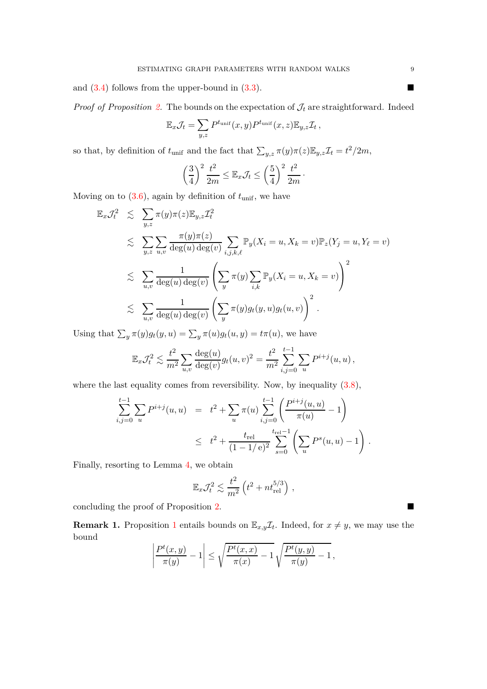and  $(3.4)$  follows from the upper-bound in  $(3.3)$ .

*Proof of Proposition* [2.](#page-5-1) The bounds on the expectation of  $\mathcal{J}_t$  are straightforward. Indeed

$$
\mathbb{E}_x \mathcal{J}_t = \sum_{y,z} P^{t_{\text{unif}}}(x,y) P^{t_{\text{unif}}}(x,z) \mathbb{E}_{y,z} \mathcal{I}_t,
$$

so that, by definition of  $t_{\text{unif}}$  and the fact that  $\sum_{y,z} \pi(y)\pi(z) \mathbb{E}_{y,z} \mathcal{I}_t = t^2/2m$ ,

$$
\left(\frac{3}{4}\right)^2 \frac{t^2}{2m} \leq \mathbb{E}_x \mathcal{J}_t \leq \left(\frac{5}{4}\right)^2 \frac{t^2}{2m}.
$$

Moving on to  $(3.6)$ , again by definition of  $t_{\text{unif}}$ , we have

$$
\mathbb{E}_x \mathcal{J}_t^2 \leq \sum_{y,z} \pi(y)\pi(z) \mathbb{E}_{y,z} \mathcal{I}_t^2
$$
\n
$$
\leq \sum_{y,z} \sum_{u,v} \frac{\pi(y)\pi(z)}{\deg(u)\deg(v)} \sum_{i,j,k,\ell} \mathbb{P}_y(X_i = u, X_k = v) \mathbb{P}_z(Y_j = u, Y_\ell = v)
$$
\n
$$
\leq \sum_{u,v} \frac{1}{\deg(u)\deg(v)} \left(\sum_y \pi(y) \sum_{i,k} \mathbb{P}_y(X_i = u, X_k = v)\right)^2
$$
\n
$$
\leq \sum_{u,v} \frac{1}{\deg(u)\deg(v)} \left(\sum_y \pi(y) g_t(y, u) g_t(u, v)\right)^2.
$$

Using that  $\sum_{y} \pi(y) g_t(y, u) = \sum_{y} \pi(u) g_t(u, y) = t \pi(u)$ , we have

$$
\mathbb{E}_x \mathcal{J}_t^2 \lesssim \frac{t^2}{m^2} \sum_{u,v} \frac{\deg(u)}{\deg(v)} g_t(u,v)^2 = \frac{t^2}{m^2} \sum_{i,j=0}^{t-1} \sum_u P^{i+j}(u,u) ,
$$

where the last equality comes from reversibility. Now, by inequality  $(3.8)$ ,

$$
\sum_{i,j=0}^{t-1} \sum_{u} P^{i+j}(u, u) = t^2 + \sum_{u} \pi(u) \sum_{i,j=0}^{t-1} \left( \frac{P^{i+j}(u, u)}{\pi(u)} - 1 \right)
$$
  

$$
\leq t^2 + \frac{t_{\text{rel}}}{(1 - 1/e)^2} \sum_{s=0}^{t_{\text{rel}}-1} \left( \sum_{u} P^s(u, u) - 1 \right).
$$

Finally, resorting to Lemma [4,](#page-6-2) we obtain

$$
\mathbb{E}_x \mathcal{J}_t^2 \lesssim \frac{t^2}{m^2} \left( t^2 + n t_{\text{rel}}^{5/3} \right) ,
$$

concluding the proof of Proposition [2.](#page-5-1)

**Remark [1](#page-5-0).** Proposition 1 entails bounds on  $\mathbb{E}_{x,y}\mathcal{I}_t$ . Indeed, for  $x \neq y$ , we may use the bound

$$
\left|\frac{P^{t}(x,y)}{\pi(y)}-1\right| \leq \sqrt{\frac{P^{t}(x,x)}{\pi(x)}-1} \sqrt{\frac{P^{t}(y,y)}{\pi(y)}-1},
$$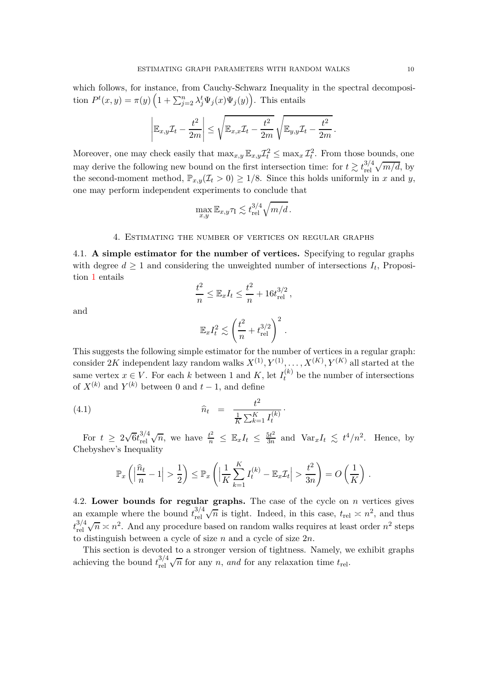which follows, for instance, from Cauchy-Schwarz Inequality in the spectral decomposition  $P^t(x, y) = \pi(y) \left(1 + \sum_{j=2}^n \lambda_j^t \Psi_j(x) \Psi_j(y)\right)$ . This entails

$$
\left|\mathbb{E}_{x,y}\mathcal{I}_t - \frac{t^2}{2m}\right| \leq \sqrt{\mathbb{E}_{x,x}\mathcal{I}_t - \frac{t^2}{2m}}\sqrt{\mathbb{E}_{y,y}\mathcal{I}_t - \frac{t^2}{2m}}.
$$

Moreover, one may check easily that  $\max_{x,y} \mathbb{E}_{x,y} \mathcal{I}_t^2 \leq \max_x \mathcal{I}_t^2$ . From those bounds, one may derive the following new bound on the first intersection time: for  $t \gtrsim t_{\text{rel}}^{3/4}$  $_{\rm rel}^{3/4}\sqrt{m/d}$ , by the second-moment method,  $\mathbb{P}_{x,y}(\mathcal{I}_t > 0) \geq 1/8$ . Since this holds uniformly in *x* and *y*, one may perform independent experiments to conclude that

$$
\max_{x,y} \mathbb{E}_{x,y} \tau_1 \lesssim t_{\mathrm{rel}}^{3/4} \sqrt{m/d} \,.
$$

## 4. Estimating the number of vertices on regular graphs

<span id="page-9-0"></span>4.1. **A simple estimator for the number of vertices.** Specifying to regular graphs with degree  $d \geq 1$  and considering the unweighted number of intersections  $I_t$ , Proposition [1](#page-5-0) entails

$$
\frac{t^2}{n} \leq \mathbb{E}_x I_t \leq \frac{t^2}{n} + 16t_{\mathrm{rel}}^{3/2},
$$

and

$$
\mathbb{E}_x I_t^2 \lesssim \left(\frac{t^2}{n} + t_{\mathrm{rel}}^{3/2}\right)^2\,.
$$

This suggests the following simple estimator for the number of vertices in a regular graph: consider 2*K* independent lazy random walks  $X^{(1)}, Y^{(1)}, \ldots, X^{(K)}, Y^{(K)}$  all started at the same vertex  $x \in V$ . For each *k* between 1 and *K*, let  $I_t^{(k)}$  be the number of intersections of  $X^{(k)}$  and  $Y^{(k)}$  between 0 and  $t-1$ , and define

(4.1) 
$$
\widehat{n}_t = \frac{t^2}{\frac{1}{K} \sum_{k=1}^K I_t^{(k)}}.
$$

For  $t \geq 2\sqrt{6}t_{\text{rel}}^{3/4}$  $\frac{3/4}{\text{rel}}\sqrt{n}$ , we have  $\frac{t^2}{n} \leq \mathbb{E}_x I_t \leq \frac{5t^2}{3n}$  $\frac{5t^2}{3n}$  and  $\text{Var}_x I_t \lesssim t^4/n^2$ . Hence, by Chebyshev's Inequality

$$
\mathbb{P}_x\left(\left|\frac{\widehat{n}_t}{n} - 1\right| > \frac{1}{2}\right) \le \mathbb{P}_x\left(\left|\frac{1}{K}\sum_{k=1}^K I_t^{(k)} - \mathbb{E}_x \mathcal{I}_t\right| > \frac{t^2}{3n}\right) = O\left(\frac{1}{K}\right).
$$

<span id="page-9-1"></span>4.2. **Lower bounds for regular graphs.** The case of the cycle on *n* vertices gives an example where the bound  $t_{\text{rel}}^{3/4}$  $_{\text{rel}}^{3/4}\sqrt{n}$  is tight. Indeed, in this case,  $t_{\text{rel}} \approx n^2$ , and thus  $t_{\rm rel}^{3/4}$  $\frac{3/4}{\text{rel}}\sqrt{n} \approx n^2$ . And any procedure based on random walks requires at least order  $n^2$  steps to distinguish between a cycle of size *n* and a cycle of size 2*n*.

This section is devoted to a stronger version of tightness. Namely, we exhibit graphs achieving the bound  $t_{rel}^{3/4}$  $_{\text{rel}}^{3/4}\sqrt{n}$  for any *n*, *and* for any relaxation time  $t_{\text{rel}}$ .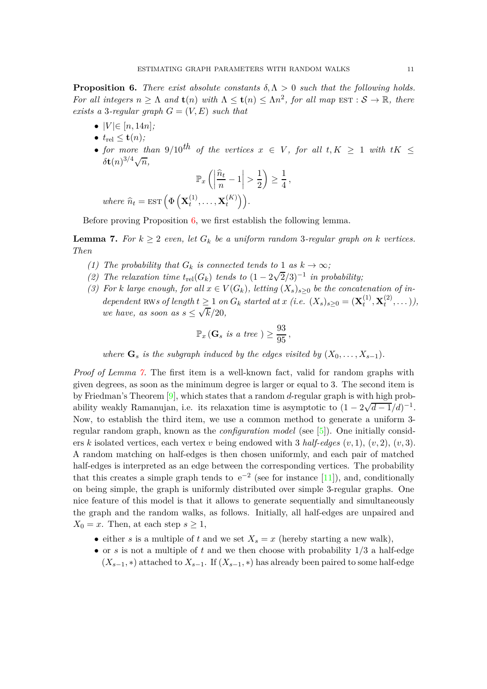<span id="page-10-0"></span>**Proposition 6.** *There exist absolute constants*  $\delta, \Lambda > 0$  *such that the following holds. For all integers*  $n \geq \Lambda$  *and*  $\mathbf{t}(n)$  *with*  $\Lambda \leq \mathbf{t}(n) \leq \Lambda n^2$ , for all map EST :  $S \to \mathbb{R}$ , there *exists a* 3-regular graph  $G = (V, E)$  *such that* 

- $|V| \in [n, 14n]$ ;
- $\bullet$   $t_{\text{rel}} \leq \mathbf{t}(n)$ ;
- *for more than* 9/10<sup>th</sup> *of the vertices*  $x \in V$ , *for all*  $t, K > 1$  *with*  $tK \leq$  $\delta \mathbf{t}(n)^{3/4}\sqrt{n},$

$$
\mathbb{P}_x\left(\left|\frac{\widehat{n}_t}{n} - 1\right| > \frac{1}{2}\right) \ge \frac{1}{4},
$$
  
where  $\widehat{n}_t = \text{EST}\left(\Phi\left(\mathbf{X}_t^{(1)}, \dots, \mathbf{X}_t^{(K)}\right)\right).$ 

Before proving Proposition [6,](#page-10-0) we first establish the following lemma.

<span id="page-10-1"></span>**Lemma 7.** For  $k \geq 2$  *even, let*  $G_k$  *be a uniform random* 3-regular graph on *k vertices. Then*

- *(1)* The probability that  $G_k$  is connected tends to 1 as  $k \to \infty$ ;
- (2) The relaxation time  $t_{rel}(G_k)$  tends to  $(1 2\sqrt{2}/3)^{-1}$  in probability;
- (3) For *k* large enough, for all  $x \in V(G_k)$ , letting  $(X_s)_{s>0}$  be the concatenation of in*dependent* RWs of length  $t \geq 1$  on  $G_k$  started at  $x$  (i.e.  $(X_s)_{s \geq 0} = (\mathbf{X}_t^{(1)})$  $\mathbf{x}_t^{(1)}, \mathbf{X}_t^{(2)}$  $t^{(2)}, \ldots$ )), *we have, as soon as*  $s \leq \sqrt{k}/20$ ,

$$
\mathbb{P}_x\left(\mathbf{G}_s \text{ is a tree }\right) \geq \frac{93}{95},
$$

*where*  $\mathbf{G}_s$  *is the subgraph induced by the edges visited by*  $(X_0, \ldots, X_{s-1})$ *.* 

*Proof of Lemma*  $\gamma$ . The first item is a well-known fact, valid for random graphs with given degrees, as soon as the minimum degree is larger or equal to 3. The second item is by Friedman's Theorem [\[9\]](#page-22-9), which states that a random *d*-regular graph is with high probability weakly Ramanujan, i.e. its relaxation time is asymptotic to  $(1 - 2\sqrt{d-1}/d)^{-1}$ . Now, to establish the third item, we use a common method to generate a uniform 3 regular random graph, known as the *configuration model* (see [\[5](#page-21-7)]). One initially considers *k* isolated vertices, each vertex *v* being endowed with 3 *half-edges*  $(v, 1), (v, 2), (v, 3)$ . A random matching on half-edges is then chosen uniformly, and each pair of matched half-edges is interpreted as an edge between the corresponding vertices. The probability that this creates a simple graph tends to  $e^{-2}$  (see for instance [\[11](#page-22-10)]), and, conditionally on being simple, the graph is uniformly distributed over simple 3-regular graphs. One nice feature of this model is that it allows to generate sequentially and simultaneously the graph and the random walks, as follows. Initially, all half-edges are unpaired and  $X_0 = x$ . Then, at each step  $s \geq 1$ ,

- either *s* is a multiple of *t* and we set  $X_s = x$  (hereby starting a new walk),
- or *s* is not a multiple of *t* and we then choose with probability 1*/*3 a half-edge  $(X_{s-1}, *)$  attached to  $X_{s-1}$ . If  $(X_{s-1}, *)$  has already been paired to some half-edge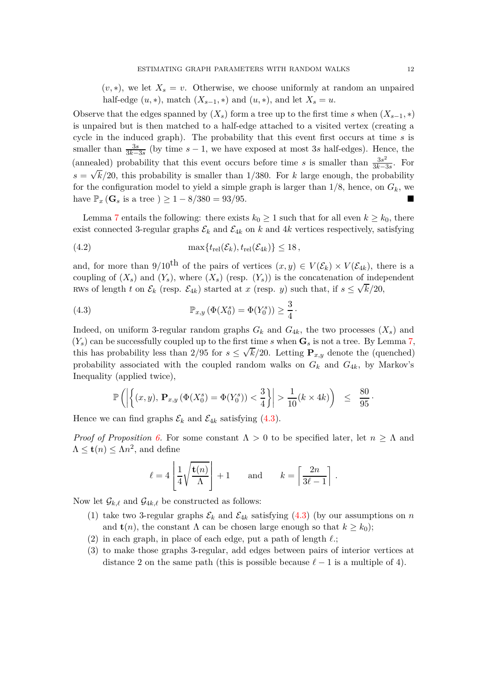$(v, *)$ , we let  $X_s = v$ . Otherwise, we choose uniformly at random an unpaired half-edge  $(u, *)$ , match  $(X_{s-1}, *)$  and  $(u, *)$ , and let  $X_s = u$ .

Observe that the edges spanned by  $(X_s)$  form a tree up to the first time *s* when  $(X_{s-1}, *)$ is unpaired but is then matched to a half-edge attached to a visited vertex (creating a cycle in the induced graph). The probability that this event first occurs at time *s* is smaller than  $\frac{3s}{3k-3s}$  (by time  $s-1$ , we have exposed at most 3*s* half-edges). Hence, the (annealed) probability that this event occurs before time *s* is smaller than  $\frac{3s^2}{3k-5}$  $\frac{3s^2}{3k-3s}$ . For  $s = \sqrt{k}/20$ , this probability is smaller than 1/380. For *k* large enough, the probability for the configuration model to yield a simple graph is larger than  $1/8$ , hence, on  $G_k$ , we have  $\mathbb{P}_x(\mathbf{G}_s \text{ is a tree}) \geq 1 - 8/380 = 93/95.$ 

Lemma [7](#page-10-1) entails the following: there exists  $k_0 \geq 1$  such that for all even  $k \geq k_0$ , there exist connected 3-regular graphs  $\mathcal{E}_k$  and  $\mathcal{E}_{4k}$  on  $k$  and  $4k$  vertices respectively, satisfying

(4.2) 
$$
\max\{t_{\text{rel}}(\mathcal{E}_k), t_{\text{rel}}(\mathcal{E}_{4k})\}\leq 18,
$$

and, for more than 9/10<sup>th</sup> of the pairs of vertices  $(x, y) \in V(\mathcal{E}_k) \times V(\mathcal{E}_{4k})$ , there is a coupling of  $(X_s)$  and  $(Y_s)$ , where  $(X_s)$  (resp.  $(Y_s)$ ) is the concatenation of independent rws of length *t* on  $\mathcal{E}_k$  (resp.  $\mathcal{E}_{4k}$ ) started at *x* (resp. *y*) such that, if  $s \le \sqrt{k}/20$ ,

(4.3) 
$$
\mathbb{P}_{x,y}(\Phi(X_0^s) = \Phi(Y_0^s)) \ge \frac{3}{4}.
$$

Indeed, on uniform 3-regular random graphs  $G_k$  and  $G_{4k}$ , the two processes  $(X_s)$  and  $(Y_s)$  can be successfully coupled up to the first time *s* when  $\mathbf{G}_s$  is not a tree. By Lemma [7,](#page-10-1) this has probability less than 2/95 for  $s \le \sqrt{k}/20$ . Letting  $\mathbf{P}_{x,y}$  denote the (quenched) probability associated with the coupled random walks on  $G_k$  and  $G_{4k}$ , by Markov's Inequality (applied twice),

<span id="page-11-0"></span>
$$
\mathbb{P}\left(\left|\left\{(x,y), \mathbf{P}_{x,y}\left(\Phi(X_0^s) = \Phi(Y_0^s)\right) < \frac{3}{4}\right\}\right| > \frac{1}{10}(k \times 4k)\right) \leq \frac{80}{95}.
$$

Hence we can find graphs  $\mathcal{E}_k$  and  $\mathcal{E}_{4k}$  satisfying [\(4.3\)](#page-11-0).

*Proof of Proposition* [6.](#page-10-0) For some constant  $\Lambda > 0$  to be specified later, let  $n \geq \Lambda$  and  $\Lambda \leq \mathbf{t}(n) \leq \Lambda n^2$ , and define

$$
\ell = 4 \left\lfloor \frac{1}{4} \sqrt{\frac{\mathbf{t}(n)}{\Lambda}} \right\rfloor + 1 \quad \text{and} \quad k = \left\lceil \frac{2n}{3\ell - 1} \right\rceil.
$$

Now let  $\mathcal{G}_{k,\ell}$  and  $\mathcal{G}_{4k,\ell}$  be constructed as follows:

- (1) take two 3-regular graphs  $\mathcal{E}_k$  and  $\mathcal{E}_{4k}$  satisfying [\(4.3\)](#page-11-0) (by our assumptions on *n* and **t**(*n*), the constant  $\Lambda$  can be chosen large enough so that  $k \geq k_0$ );
- (2) in each graph, in place of each edge, put a path of length *ℓ*.;
- (3) to make those graphs 3-regular, add edges between pairs of interior vertices at distance 2 on the same path (this is possible because  $\ell - 1$  is a multiple of 4).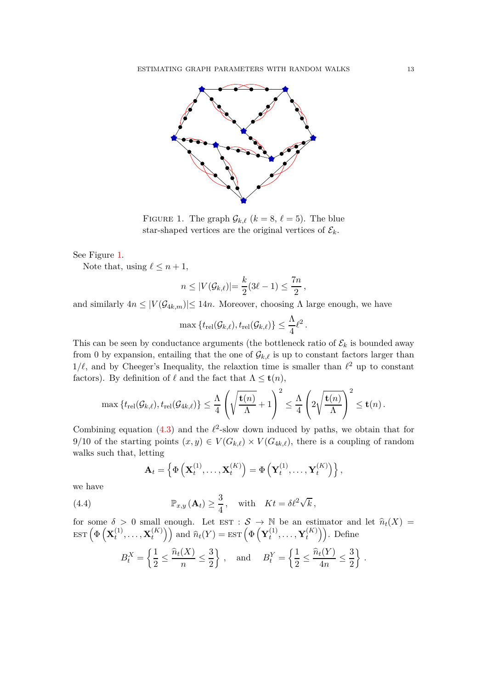<span id="page-12-0"></span>

FIGURE 1. The graph  $\mathcal{G}_{k,\ell}$  ( $k=8, \ell=5$ ). The blue star-shaped vertices are the original vertices of  $\mathcal{E}_k$ .

See Figure [1.](#page-12-0)

Note that, using  $\ell \leq n+1$ ,

$$
n \le |V(\mathcal{G}_{k,\ell})| = \frac{k}{2}(3\ell - 1) \le \frac{7n}{2},
$$

and similarly  $4n \leq |V(\mathcal{G}_{4k,m})| \leq 14n$ . Moreover, choosing  $\Lambda$  large enough, we have

$$
\max\left\{t_{\mathrm{rel}}(\mathcal{G}_{k,\ell}),t_{\mathrm{rel}}(\mathcal{G}_{k,\ell})\right\}\leq \frac{\Lambda}{4}\ell^2\,.
$$

This can be seen by conductance arguments (the bottleneck ratio of  $\mathcal{E}_k$  is bounded away from 0 by expansion, entailing that the one of  $\mathcal{G}_{k,\ell}$  is up to constant factors larger than  $1/\ell$ , and by Cheeger's Inequality, the relaxtion time is smaller than  $\ell^2$  up to constant factors). By definition of  $\ell$  and the fact that  $\Lambda \leq \mathbf{t}(n)$ ,

$$
\max \left\{ t_{\mathrm{rel}}(\mathcal{G}_{k,\ell}), t_{\mathrm{rel}}(\mathcal{G}_{4k,\ell}) \right\} \leq \frac{\Lambda}{4} \left( \sqrt{\frac{\mathbf{t}(n)}{\Lambda}} + 1 \right)^2 \leq \frac{\Lambda}{4} \left( 2 \sqrt{\frac{\mathbf{t}(n)}{\Lambda}} \right)^2 \leq \mathbf{t}(n) .
$$

Combining equation  $(4.3)$  and the  $\ell^2$ -slow down induced by paths, we obtain that for 9/10 of the starting points  $(x, y) \in V(G_{k,\ell}) \times V(G_{4k,\ell})$ , there is a coupling of random walks such that, letting

<span id="page-12-1"></span>
$$
\mathbf{A}_t = \left\{ \Phi\left(\mathbf{X}_t^{(1)}, \ldots, \mathbf{X}_t^{(K)}\right) = \Phi\left(\mathbf{Y}_t^{(1)}, \ldots, \mathbf{Y}_t^{(K)}\right) \right\},\
$$

we have

(4.4) 
$$
\mathbb{P}_{x,y}(\mathbf{A}_t) \geq \frac{3}{4}, \text{ with } Kt = \delta \ell^2 \sqrt{k},
$$

2

for some  $\delta > 0$  small enough. Let  $\text{EST} : \mathcal{S} \to \mathbb{N}$  be an estimator and let  $\hat{n}_t(X) =$  $\text{est}\left(\Phi\left(\mathbf{X}_{t}^{(1)}\right)\right)$  $\mathbf{x}_t^{(1)},\ldots,\mathbf{X}_t^{(K)}$  $\binom{K}{t}$  and  $\hat{n}_t(Y) = \text{EST}\left(\Phi\left(\mathbf{Y}_t^{(1)}\right)\right)$  $\mathbf{Y}_t^{(1)},\ldots,\mathbf{Y}_t^{(K)}$  $\binom{K}{t}$ . Define  $B_t^X =$  $\int$  1  $\frac{1}{2} \leq \frac{\widehat{n}_t(X)}{n}$  $\frac{1}{n}$ 3  $\mathcal{L}$ *f*, and  $B_t^Y =$  $\int$  1  $\frac{1}{2} \leq \frac{\widehat{n}_t(Y)}{4n}$  $\frac{1}{4n} \leq$ 3  $\mathcal{L}$ *.*

2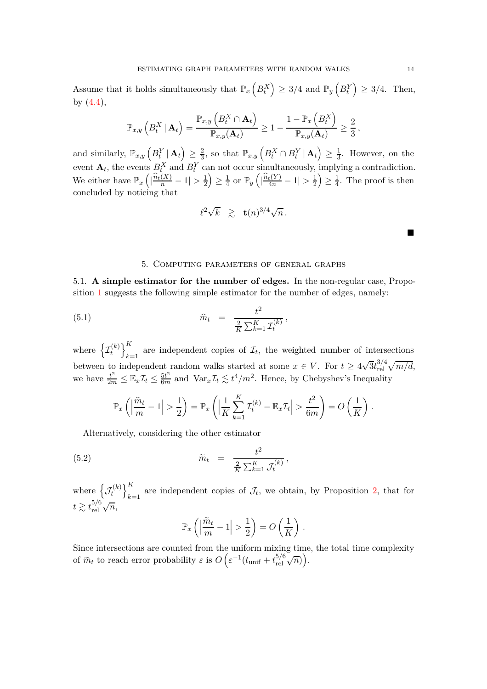Assume that it holds simultaneously that  $\mathbb{P}_x\left(B_t^X\right)$  $\left( \sum_{t=1}^{N} \right) \geq 3/4$  and  $\mathbb{P}_y \left( B_t^Y \right)$  $\Big) \geq 3/4$ . Then, by [\(4.4\)](#page-12-1),

$$
\mathbb{P}_{x,y}\left(B_t^X \mid \mathbf{A}_t\right) = \frac{\mathbb{P}_{x,y}\left(B_t^X \cap \mathbf{A}_t\right)}{\mathbb{P}_{x,y}(\mathbf{A}_t)} \ge 1 - \frac{1 - \mathbb{P}_x\left(B_t^X\right)}{\mathbb{P}_{x,y}(\mathbf{A}_t)} \ge \frac{2}{3},
$$

and similarly,  $\mathbb{P}_{x,y}\left(B_t^Y | \mathbf{A}_t\right)$  $\geq \frac{2}{3}$  $\frac{2}{3}$ , so that  $\mathbb{P}_{x,y}\left(B_t^X \cap B_t^Y \mid \mathbf{A}_t\right)$  $\geq \frac{1}{3}$  $\frac{1}{3}$ . However, on the event  $\mathbf{A}_t$ , the events  $B_t^X$  and  $B_t^Y$  can not occur simultaneously, implying a contradiction. We either have  $\mathbb{P}_x$  (  $\left| \frac{n_t(X)}{n} - 1 \right| > \frac{1}{2}$ 2  $\overline{ }$  $\geq \frac{1}{4}$  $\frac{1}{4}$  or  $\mathbb{P}_y$  (  $\left| \frac{n_t(Y)}{4n} - 1 \right| > \frac{1}{2}$ 2  $\overline{ }$  $\geq \frac{1}{4}$  $\frac{1}{4}$ . The proof is then concluded by noticing that

$$
\ell^2 \sqrt{k} \quad \gtrsim \quad \mathbf{t}(n)^{3/4} \sqrt{n} \, .
$$

#### 5. Computing parameters of general graphs

<span id="page-13-1"></span><span id="page-13-0"></span>5.1. **A simple estimator for the number of edges.** In the non-regular case, Proposition [1](#page-5-0) suggests the following simple estimator for the number of edges, namely:

(5.1) 
$$
\widehat{m}_t = \frac{t^2}{\frac{2}{K} \sum_{k=1}^K \mathcal{I}_t^{(k)}},
$$

where  $\left\{\mathcal{I}_t^{(k)}\right\}$ *t*  $\lambda^K$ are independent copies of  $\mathcal{I}_t$ , the weighted number of intersections between to independent random walks started at some  $x \in V$ . For  $t \geq 4\sqrt{3}t_{rel}^{3/4}$  $_{\rm rel}^{3/4}\sqrt{m/d},$ we have  $\frac{t^2}{2m} \leq \mathbb{E}_x \mathcal{I}_t \leq \frac{5t^2}{6m}$  and  $\text{Var}_x \mathcal{I}_t \leq t^4/m^2$ . Hence, by Chebyshev's Inequality

$$
\mathbb{P}_x\left(\left|\frac{\hat{m}_t}{m} - 1\right| > \frac{1}{2}\right) = \mathbb{P}_x\left(\left|\frac{1}{K}\sum_{k=1}^K \mathcal{I}_t^{(k)} - \mathbb{E}_x\mathcal{I}_t\right| > \frac{t^2}{6m}\right) = O\left(\frac{1}{K}\right).
$$

Alternatively, considering the other estimator

(5.2) 
$$
\widetilde{m}_t = \frac{t^2}{\frac{2}{K} \sum_{k=1}^K \mathcal{J}_t^{(k)}},
$$

where  $\left\{\mathcal{J}_t^{(k)}\right\}$ *t*  $\lambda^K$  $k=1$  are independent copies of  $\mathcal{J}_t$ , we obtain, by Proposition [2,](#page-5-1) that for  $t\gtrsim t_{\rm rel}^{5/6}$  $_{\rm rel}^{5/6}\sqrt{n},$ 

$$
\mathbb{P}_x\left(\left|\frac{\widetilde{m}_t}{m} - 1\right| > \frac{1}{2}\right) = O\left(\frac{1}{K}\right) \, .
$$

Since intersections are counted from the uniform mixing time, the total time complexity of  $\tilde{m}_t$  to reach error probability  $\varepsilon$  is  $O\left(\varepsilon^{-1}(t_{\text{unif}} + t_{\text{rel}}^{5/6})\right)$  $_{\rm rel}^{\rm 5/6}$   $\sqrt{n})$ .

п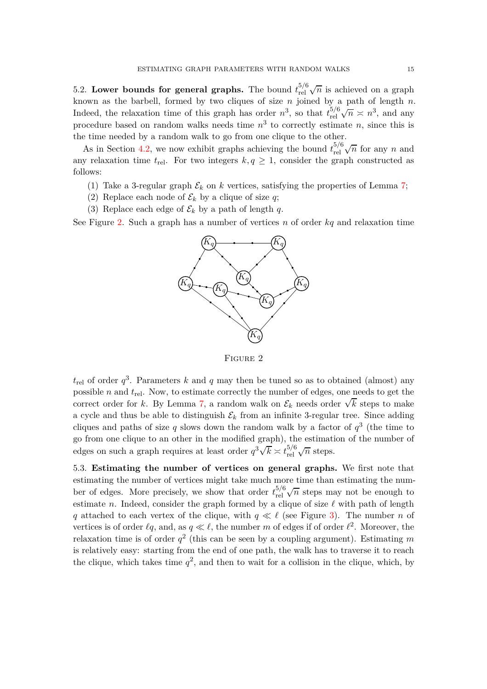<span id="page-14-0"></span>5.2. **Lower bounds for general graphs.** The bound  $t_{rel}^{5/6}$  $_{\rm rel}^{5/6}\sqrt{n}$  is achieved on a graph known as the barbell, formed by two cliques of size  $n$  joined by a path of length  $n$ . Indeed, the relaxation time of this graph has order  $n^3$ , so that  $t_{rel}^{5/6}$  $\sqrt[5/6]{n} \times n^3$ , and any procedure based on random walks needs time  $n<sup>3</sup>$  to correctly estimate *n*, since this is the time needed by a random walk to go from one clique to the other.

As in Section [4.2,](#page-9-1) we now exhibit graphs achieving the bound  $t_{rel}^{5/6}$  $_{\text{rel}}^{5/6}\sqrt{n}$  for any *n* and any relaxation time  $t_{rel}$ . For two integers  $k, q \ge 1$ , consider the graph constructed as follows:

- (1) Take a 3-regular graph  $\mathcal{E}_k$  on  $k$  vertices, satisfying the properties of Lemma [7;](#page-10-1)
- (2) Replace each node of  $\mathcal{E}_k$  by a clique of size *q*;
- (3) Replace each edge of  $\mathcal{E}_k$  by a path of length q.

<span id="page-14-2"></span>See Figure [2.](#page-14-2) Such a graph has a number of vertices *n* of order *kq* and relaxation time



Figure 2

 $t_{\text{rel}}$  of order  $q^3$ . Parameters *k* and *q* may then be tuned so as to obtained (almost) any possible *n* and *t*rel. Now, to estimate correctly the number of edges, one needs to get the correct order for *k*. By Lemma [7,](#page-10-1) a random walk on  $\mathcal{E}_k$  needs order  $\sqrt{k}$  steps to make a cycle and thus be able to distinguish  $\mathcal{E}_k$  from an infinite 3-regular tree. Since adding cliques and paths of size  $q$  slows down the random walk by a factor of  $q^3$  (the time to go from one clique to an other in the modified graph), the estimation of the number of edges on such a graph requires at least order  $q^3 \sqrt{k} \approx t_{\text{rel}}^{5/6}$  $_{\rm rel}^{5/6}\sqrt{n}$  steps.

<span id="page-14-1"></span>5.3. **Estimating the number of vertices on general graphs.** We first note that estimating the number of vertices might take much more time than estimating the number of edges. More precisely, we show that order  $t_{\text{rel}}^{5/6}$  $_{\text{rel}}^{5/6}\sqrt{n}$  steps may not be enough to estimate *n*. Indeed, consider the graph formed by a clique of size  $\ell$  with path of length *q* attached to each vertex of the clique, with  $q \ll l$  (see Figure [3\)](#page-15-1). The number *n* of vertices is of order  $\ell q$ , and, as  $q \ll \ell$ , the number *m* of edges if of order  $\ell^2$ . Moreover, the relaxation time is of order  $q^2$  (this can be seen by a coupling argument). Estimating m is relatively easy: starting from the end of one path, the walk has to traverse it to reach the clique, which takes time  $q^2$ , and then to wait for a collision in the clique, which, by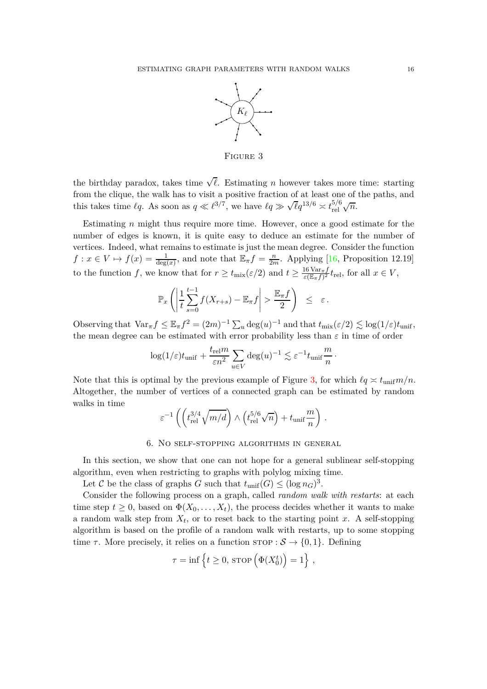

Figure 3

<span id="page-15-1"></span>the birthday paradox, takes time  $\sqrt{\ell}$ . Estimating *n* however takes more time: starting from the clique, the walk has to visit a positive fraction of at least one of the paths, and this takes time  $\ell q$ . As soon as  $q \ll \ell^{3/7}$ , we have  $\ell q \gg \sqrt{\ell} q^{13/6} \approx t_{rel}^{5/6}$  $_{\rm rel}^{5/6}\sqrt{n}.$ 

Estimating *n* might thus require more time. However, once a good estimate for the number of edges is known, it is quite easy to deduce an estimate for the number of vertices. Indeed, what remains to estimate is just the mean degree. Consider the function  $f: x \in V \mapsto f(x) = \frac{1}{\deg(x)}$ , and note that  $\mathbb{E}_{\pi} f = \frac{n}{2m}$ . Applying [\[16](#page-22-11), Proposition 12.19] to the function *f*, we know that for  $r \ge t_{\text{mix}}(\varepsilon/2)$  and  $t \ge \frac{16 \text{Var}_{\pi} f}{\varepsilon(E_{\pi} f)^2} t_{\text{rel}}$ , for all  $x \in V$ ,

$$
\mathbb{P}_x\left(\left|\frac{1}{t}\sum_{s=0}^{t-1}f(X_{r+s})-\mathbb{E}_\pi f\right|>\frac{\mathbb{E}_\pi f}{2}\right) \leq \varepsilon.
$$

Observing that  $\text{Var}_{\pi} f \leq \mathbb{E}_{\pi} f^2 = (2m)^{-1} \sum_u \text{deg}(u)^{-1}$  and that  $t_{\text{mix}}(\varepsilon/2) \lesssim \text{log}(1/\varepsilon)t_{\text{unif}}$ , the mean degree can be estimated with error probability less than  $\varepsilon$  in time of order

$$
\log(1/\varepsilon) t_{\rm unif} + \frac{t_{\rm rel} m}{\varepsilon n^2} \sum_{u \in V} \deg(u)^{-1} \lesssim \varepsilon^{-1} t_{\rm unif} \frac{m}{n}
$$

·

Note that this is optimal by the previous example of Figure [3,](#page-15-1) for which  $\ell q \approx t_{\text{unif}} m/n$ . Altogether, the number of vertices of a connected graph can be estimated by random walks in time

$$
\varepsilon^{-1}\left(\left(t_{\text{rel}}^{3/4}\sqrt{m/d}\right)\wedge\left(t_{\text{rel}}^{5/6}\sqrt{n}\right)+t_{\text{unif}}\frac{m}{n}\right)\,.
$$

# 6. No self-stopping algorithms in general

<span id="page-15-0"></span>In this section, we show that one can not hope for a general sublinear self-stopping algorithm, even when restricting to graphs with polylog mixing time.

Let C be the class of graphs *G* such that  $t_{\text{unif}}(G) \leq (\log n_G)^3$ .

Consider the following process on a graph, called *random walk with restarts*: at each time step  $t \geq 0$ , based on  $\Phi(X_0, \ldots, X_t)$ , the process decides whether it wants to make a random walk step from  $X_t$ , or to reset back to the starting point  $x$ . A self-stopping algorithm is based on the profile of a random walk with restarts, up to some stopping time  $\tau$ . More precisely, it relies on a function  $\text{STOP}: \mathcal{S} \to \{0, 1\}$ . Defining

$$
\tau = \inf \left\{ t \ge 0, \, \text{STOP}\left(\Phi(X_0^t)\right) = 1 \right\},\,
$$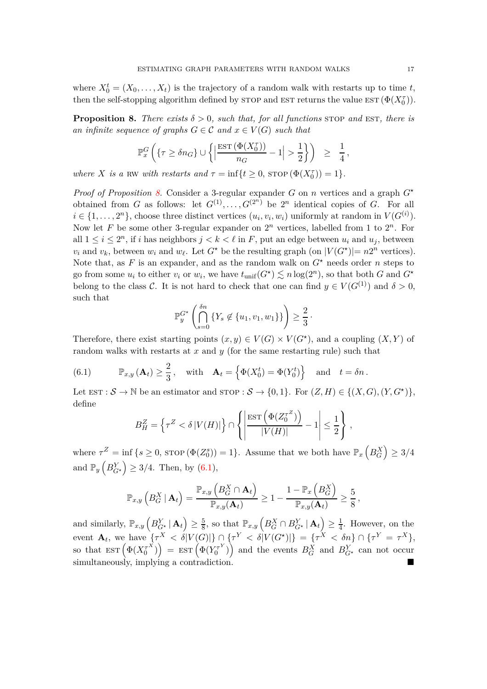where  $X_0^t = (X_0, \ldots, X_t)$  is the trajectory of a random walk with restarts up to time *t*, then the self-stopping algorithm defined by STOP and EST returns the value EST  $(\Phi(X_0^{\tau}))$ .

<span id="page-16-0"></span>**Proposition 8.** There exists  $\delta > 0$ , such that, for all functions STOP and EST, there is *an infinite sequence of graphs*  $G \in \mathcal{C}$  *and*  $x \in V(G)$  *such that* 

$$
\mathbb{P}_{x}^{G}\left(\{\tau \geq \delta n_{G}\} \cup \left\{\Big|\frac{\operatorname{EST}\left(\Phi(X_{0}^{\tau}\right)\right)}{n_{G}}-1\Big|>\frac{1}{2}\right\}\right) \;\;\geq\;\; \frac{1}{4}\,,
$$

*where X is a* RW *with restarts and*  $\tau = \inf\{t \geq 0, \text{STOP }(\Phi(X_0^{\tau})) = 1\}.$ 

*Proof of Proposition [8.](#page-16-0)* Consider a 3-regular expander G on *n* vertices and a graph  $G^*$ obtained from *G* as follows: let  $G^{(1)}, \ldots, G^{(2^n)}$  be  $2^n$  identical copies of *G*. For all  $i \in \{1, \ldots, 2^n\}$ , choose three distinct vertices  $(u_i, v_i, w_i)$  uniformly at random in  $V(G^{(i)})$ . Now let F be some other 3-regular expander on  $2^n$  vertices, labelled from 1 to  $2^n$ . For all  $1 \leq i \leq 2^n$ , if *i* has neighbors  $j < k < \ell$  in *F*, put an edge between  $u_i$  and  $u_j$ , between *v<sub>i</sub>* and *v<sub>k</sub>*, between *w<sub>i</sub>* and *w*<sub>*l*</sub>. Let *G*<sup>*★*</sup> be the resulting graph (on  $|V(G^*)|=n2^n$  vertices). Note that, as F is an expander, and as the random walk on  $G^*$  needs order n steps to go from some  $u_i$  to either  $v_i$  or  $w_i$ , we have  $t_{\text{unif}}(G^*) \lesssim n \log(2^n)$ , so that both *G* and  $G^*$ belong to the class C. It is not hard to check that one can find  $y \in V(G^{(1)})$  and  $\delta > 0$ , such that

$$
\mathbb{P}_y^{G^{\star}}\left(\bigcap_{s=0}^{\delta n} \left\{Y_s \not\in \{u_1, v_1, w_1\}\right\}\right) \geq \frac{2}{3}.
$$

Therefore, there exist starting points  $(x, y) \in V(G) \times V(G^*)$ , and a coupling  $(X, Y)$  of random walks with restarts at *x* and *y* (for the same restarting rule) such that

<span id="page-16-1"></span>(6.1) 
$$
\mathbb{P}_{x,y}(\mathbf{A}_t) \geq \frac{2}{3}, \text{ with } \mathbf{A}_t = \left\{ \Phi(X_0^t) = \Phi(Y_0^t) \right\} \text{ and } t = \delta n.
$$

Let  $EST : \mathcal{S} \to \mathbb{N}$  be an estimator and  $STOP : \mathcal{S} \to \{0,1\}$ . For  $(Z, H) \in \{(X, G), (Y, G^*)\}$ , define

$$
B_H^Z = \left\{ \tau^Z < \delta \left| V(H) \right| \right\} \cap \left\{ \left| \frac{\operatorname{EST} \left( \Phi(Z_0^{\tau^Z}) \right)}{\left| V(H) \right|} - 1 \right| \le \frac{1}{2} \right\},\,
$$

where  $\tau^Z = \inf \{ s \ge 0, \text{ group } (\Phi(Z_0^s)) = 1 \}.$  Assume that we both have  $\mathbb{P}_x \left( B_G^X \right)$  $= 3/4$ and  $\mathbb{P}_y\left(B_{G^*}^Y\right)$  $\Big) \geq 3/4$ . Then, by  $(6.1)$ ,

$$
\mathbb{P}_{x,y}\left(B_G^X \mid \mathbf{A}_t\right) = \frac{\mathbb{P}_{x,y}\left(B_G^X \cap \mathbf{A}_t\right)}{\mathbb{P}_{x,y}(\mathbf{A}_t)} \ge 1 - \frac{1 - \mathbb{P}_x\left(B_G^X\right)}{\mathbb{P}_{x,y}(\mathbf{A}_t)} \ge \frac{5}{8},
$$

and similarly,  $\mathbb{P}_{x,y}\left(B_{G^{\star}}^Y | \mathbf{A}_t\right)$  $\geq \frac{5}{8}$  $\frac{5}{8}$ , so that  $\mathbb{P}_{x,y}\left(B_G^X \cap B_{G^*}^Y \mid \mathbf{A}_t\right)$  $\geq \frac{1}{4}$  $\frac{1}{4}$ . However, on the  $\text{event } A_t, \text{ we have } \{ \tau^X < \delta |V(G)| \} \cap \{ \tau^Y < \delta |V(G^*)| \} = \{ \tau^X < \delta n \} \cap \{ \tau^Y = \tau^X \},$  $\exp\left(\Phi(X_0^{\tau X})\right) = \exp\left(\Phi(Y_0^{\tau Y})\right)$  and the events  $B_G^X$  and  $B_{G^*}^Y$  can not occur simultaneously, implying a contradiction.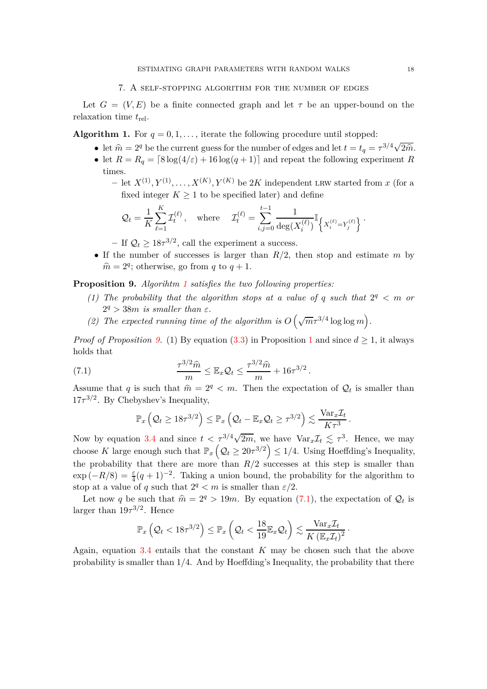#### 7. A self-stopping algorithm for the number of edges

<span id="page-17-0"></span>Let  $G = (V, E)$  be a finite connected graph and let  $\tau$  be an upper-bound on the relaxation time *t*rel.

<span id="page-17-1"></span>**Algorithm 1.** For  $q = 0, 1, \ldots$ , iterate the following procedure until stopped:

- let  $\hat{m} = 2^q$  be the current guess for the number of edges and let  $t = t_q = \tau^{3/4} \sqrt{2\hat{m}}$ .
- let  $R = R_q = \left[8 \log(4/\varepsilon) + 16 \log(q+1)\right]$  and repeat the following experiment R times.

 $-$  let  $X^{(1)}, Y^{(1)}, \ldots, X^{(K)}, Y^{(K)}$  be 2*K* independent LRW started from *x* (for a fixed integer  $K \geq 1$  to be specified later) and define

$$
\mathcal{Q}_t = \frac{1}{K} \sum_{\ell=1}^K \mathcal{I}_t^{(\ell)}, \quad \text{where} \quad \mathcal{I}_t^{(\ell)} = \sum_{i,j=0}^{t-1} \frac{1}{\deg(X_i^{(\ell)})} \mathbb{I}_{\left\{X_i^{(\ell)} = Y_j^{(\ell)}\right\}}.
$$

 $-$  If  $\mathcal{Q}_t \ge 18\tau^{3/2}$ , call the experiment a success.

• If the number of successes is larger than *R/*2, then stop and estimate *m* by  $\hat{m} = 2^q$ ; otherwise, go from *q* to *q* + 1.

<span id="page-17-2"></span>**Proposition 9.** *Algorihtm [1](#page-17-1) satisfies the two following properties:*

- (1) The probability that the algorithm stops at a value of q such that  $2^q < m$  or  $2^q > 38m$  *is smaller than*  $\varepsilon$ *.*
- (2) The expected running time of the algorithm is  $O(\sqrt{m}\tau^{3/4}\log\log m)$ .

*Proof of Proposition [9.](#page-17-2)* (1) By equation [\(3.3\)](#page-5-4) in Proposition [1](#page-5-0) and since  $d \geq 1$ , it always holds that

(7.1) 
$$
\frac{\tau^{3/2} \hat{m}}{m} \leq \mathbb{E}_x \mathcal{Q}_t \leq \frac{\tau^{3/2} \hat{m}}{m} + 16\tau^{3/2}.
$$

Assume that *q* is such that  $\hat{m} = 2^q < m$ . Then the expectation of  $Q_t$  is smaller than  $17\tau^{3/2}$ . By Chebyshev's Inequality,

<span id="page-17-3"></span>
$$
\mathbb{P}_x\left(\mathcal{Q}_t \geq 18\tau^{3/2}\right) \leq \mathbb{P}_x\left(\mathcal{Q}_t - \mathbb{E}_x\mathcal{Q}_t \geq \tau^{3/2}\right) \lesssim \frac{\text{Var}_x\mathcal{I}_t}{K\tau^3}.
$$

Now by equation [3.4](#page-5-3) and since  $t < \tau^{3/4}\sqrt{2m}$ , we have  $\text{Var}_x \mathcal{I}_t \lesssim \tau^3$ . Hence, we may choose *K* large enough such that  $\mathbb{P}_x(Q_t \geq 20\tau^{3/2}) \leq 1/4$ . Using Hoeffding's Inequality, the probability that there are more than  $R/2$  successes at this step is smaller than  $\exp(-R/8) = \frac{\varepsilon}{4}(q+1)^{-2}$ . Taking a union bound, the probability for the algorithm to stop at a value of *q* such that  $2<sup>q</sup> < m$  is smaller than  $\varepsilon/2$ .

Let now *q* be such that  $\hat{m} = 2^q > 19m$ . By equation [\(7.1\)](#page-17-3), the expectation of  $\mathcal{Q}_t$  is larger than  $19\tau^{3/2}$ . Hence

$$
\mathbb{P}_x\left(\mathcal{Q}_t < 18\tau^{3/2}\right) \le \mathbb{P}_x\left(\mathcal{Q}_t < \frac{18}{19} \mathbb{E}_x \mathcal{Q}_t\right) \lesssim \frac{\text{Var}_x \mathcal{I}_t}{K\left(\mathbb{E}_x \mathcal{I}_t\right)^2}.
$$

Again, equation [3.4](#page-5-3) entails that the constant *K* may be chosen such that the above probability is smaller than 1*/*4. And by Hoeffding's Inequality, the probability that there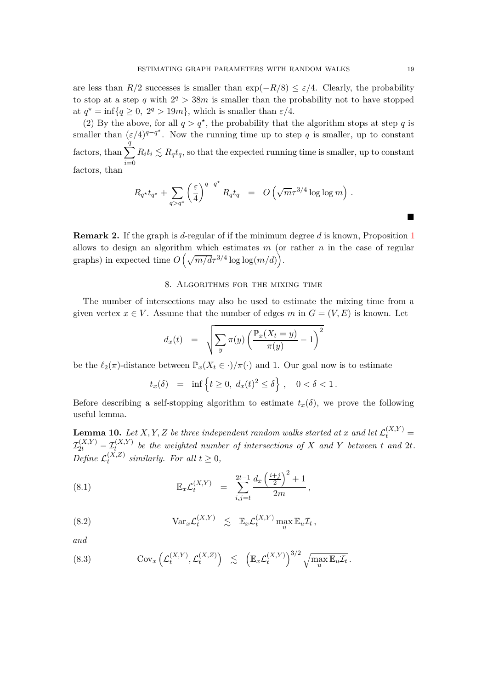are less than  $R/2$  successes is smaller than  $\exp(-R/8) \leq \varepsilon/4$ . Clearly, the probability to stop at a step *q* with  $2^q > 38m$  is smaller than the probability not to have stopped at  $q^* = \inf\{q \ge 0, 2^q > 19m\}$ , which is smaller than  $\varepsilon/4$ .

(2) By the above, for all  $q > q^*$ , the probability that the algorithm stops at step q is smaller than  $(\varepsilon/4)^{q-q^*}$ . Now the running time up to step *q* is smaller, up to constant factors, than  $\sum_{i=1}^{q}$ *i*=0  $R_i t_i \lesssim R_q t_q$ , so that the expected running time is smaller, up to constant factors, than

$$
R_{q^*}t_{q^*} + \sum_{q>q^*} \left(\frac{\varepsilon}{4}\right)^{q-q^*} R_q t_q = O\left(\sqrt{m}\tau^{3/4} \log \log m\right).
$$

**Remark 2.** If the graph is *d*-regular of if the minimum degree *d* is known, Proposition [1](#page-5-0) allows to design an algorithm which estimates *m* (or rather *n* in the case of regular graphs) in expected time  $O\left(\sqrt{m/d}\tau^{3/4}\log\log(m/d)\right)$ .

## 8. Algorithms for the mixing time

<span id="page-18-0"></span>The number of intersections may also be used to estimate the mixing time from a given vertex  $x \in V$ . Assume that the number of edges *m* in  $G = (V, E)$  is known. Let

$$
d_x(t) = \sqrt{\sum_y \pi(y) \left(\frac{\mathbb{P}_x(X_t = y)}{\pi(y)} - 1\right)^2}
$$

be the  $\ell_2(\pi)$ -distance between  $\mathbb{P}_x(X_t \in \cdot)/\pi(\cdot)$  and 1. Our goal now is to estimate

$$
t_x(\delta) = \inf \{ t \ge 0, d_x(t)^2 \le \delta \}, 0 < \delta < 1.
$$

Before describing a self-stopping algorithm to estimate  $t_x(\delta)$ , we prove the following useful lemma.

<span id="page-18-1"></span>**Lemma 10.** Let *X*, *Y*, *Z* be three independent random walks started at *x* and let  $\mathcal{L}_t^{(X,Y)}$  =  $\mathcal{I}_{2t}^{(X,Y)} - \mathcal{I}_{t}^{(X,Y)}$  be the weighted number of intersections of X and Y between *t* and 2*t*. Define  $\mathcal{L}_t^{(X,Z)}$  $\sum_{t=1}^{(A, B)}$  *similarly.* For all  $t \geq 0$ ,

<span id="page-18-4"></span>(8.1) 
$$
\mathbb{E}_x \mathcal{L}_t^{(X,Y)} = \sum_{i,j=t}^{2t-1} \frac{d_x \left(\frac{i+j}{2}\right)^2 + 1}{2m},
$$

<span id="page-18-2"></span>(8.2) 
$$
\operatorname{Var}_x \mathcal{L}_t^{(X,Y)} \leq \mathbb{E}_x \mathcal{L}_t^{(X,Y)} \max_u \mathbb{E}_u \mathcal{I}_t,
$$

*and*

<span id="page-18-3"></span>(8.3) 
$$
\text{Cov}_x\left(\mathcal{L}_t^{(X,Y)}, \mathcal{L}_t^{(X,Z)}\right) \leq \left(\mathbb{E}_x\mathcal{L}_t^{(X,Y)}\right)^{3/2} \sqrt{\max_u \mathbb{E}_u \mathcal{I}_t}.
$$

 $\blacksquare$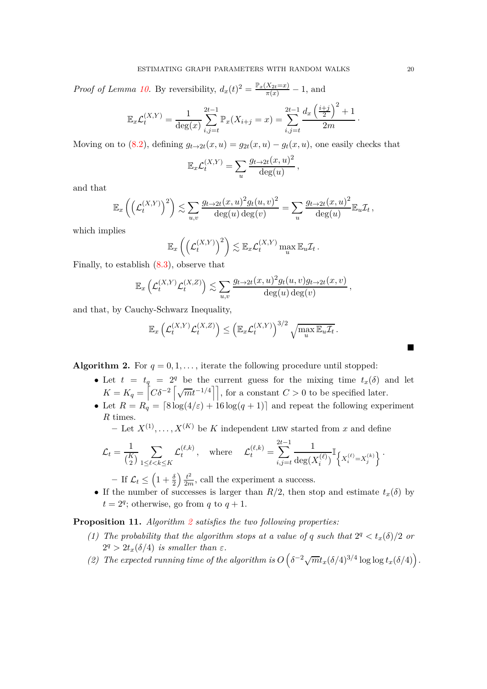*Proof of Lemma [10.](#page-18-1)* By reversibility,  $d_x(t)^2 = \frac{\mathbb{P}_x(X_{2t} = x)}{\pi(x)} - 1$ , and

$$
\mathbb{E}_{x} \mathcal{L}_{t}^{(X,Y)} = \frac{1}{\deg(x)} \sum_{i,j=t}^{2t-1} \mathbb{P}_{x}(X_{i+j} = x) = \sum_{i,j=t}^{2t-1} \frac{d_{x} \left(\frac{i+j}{2}\right)^{2} + 1}{2m}
$$

Moving on to [\(8.2\)](#page-18-2), defining  $g_{t\to 2t}(x, u) = g_{2t}(x, u) - g_t(x, u)$ , one easily checks that

$$
\mathbb{E}_x \mathcal{L}_t^{(X,Y)} = \sum_u \frac{g_{t \to 2t}(x,u)^2}{\deg(u)},
$$

and that

$$
\mathbb{E}_x\left(\left(\mathcal{L}_t^{(X,Y)}\right)^2\right) \lesssim \sum_{u,v} \frac{g_{t\to 2t}(x,u)^2 g_t(u,v)^2}{\deg(u)\deg(v)} = \sum_u \frac{g_{t\to 2t}(x,u)^2}{\deg(u)} \mathbb{E}_u \mathcal{I}_t,
$$

which implies

$$
\mathbb{E}_x\left(\left(\mathcal{L}_t^{(X,Y)}\right)^2\right) \lesssim \mathbb{E}_x \mathcal{L}_t^{(X,Y)} \max_u \mathbb{E}_u \mathcal{I}_t.
$$

Finally, to establish [\(8.3\)](#page-18-3), observe that

$$
\mathbb{E}_x\left(\mathcal{L}_t^{(X,Y)}\mathcal{L}_t^{(X,Z)}\right) \lesssim \sum_{u,v} \frac{g_{t\to 2t}(x,u)^2 g_t(u,v) g_{t\to 2t}(x,v)}{\deg(u)\deg(v)}
$$

and that, by Cauchy-Schwarz Inequality,

$$
\mathbb{E}_x\left(\mathcal{L}_t^{(X,Y)}\mathcal{L}_t^{(X,Z)}\right) \leq \left(\mathbb{E}_x\mathcal{L}_t^{(X,Y)}\right)^{3/2} \sqrt{\max_u \mathbb{E}_u \mathcal{I}_t}.
$$

<span id="page-19-0"></span>**Algorithm 2.** For  $q = 0, 1, \ldots$ , iterate the following procedure until stopped:

- Let  $t = t_q = 2^q$  be the current guess for the mixing time  $t_x(\delta)$  and let  $K = K_q = \left[ C \delta^{-2} \left[ \sqrt{m} t^{-1/4} \right] \right]$ , for a constant  $C > 0$  to be specified later.
- Let  $R = R_q = \left[8 \log(4/\varepsilon) + 16 \log(q+1)\right]$  and repeat the following experiment *R* times.

– Let  $X^{(1)}, \ldots, X^{(K)}$  be *K* independent LRW started from *x* and define

$$
\mathcal{L}_t = \frac{1}{\binom{K}{2}} \sum_{1 \le \ell < k \le K} \mathcal{L}_t^{(\ell, k)}, \quad \text{where} \quad \mathcal{L}_t^{(\ell, k)} = \sum_{i, j=t}^{2t-1} \frac{1}{\deg(X_i^{(\ell)})} \mathbb{I}_{\left\{X_i^{(\ell)} = X_j^{(k)}\right\}}.
$$

 $-$  If  $\mathcal{L}_t \leq \left(1 + \frac{\delta}{2}\right)$  $\left(\frac{t^2}{2m}, \text{ call the experiment a success.}\right)$ 

• If the number of successes is larger than  $R/2$ , then stop and estimate  $t_x(\delta)$  by  $t = 2^q$ ; otherwise, go from *q* to  $q + 1$ .

<span id="page-19-1"></span>**Proposition 11.** *Algorithm [2](#page-19-0) satisfies the two following properties:*

- *(1) The probability that the algorithm stops at a value of q such that*  $2^q < t_x(\delta)/2$  or  $2^q > 2t_x(\delta/4)$  *is smaller than*  $\varepsilon$ *.*
- (2) The expected running time of the algorithm is  $O\left(\delta^{-2}\sqrt{m}t_x(\delta/4)^{3/4}\log\log t_x(\delta/4)\right)$ .

п

·

*,*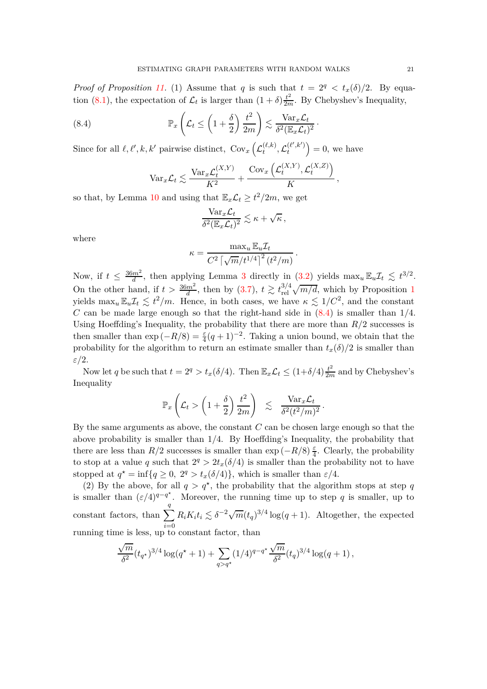*Proof of Proposition [11.](#page-19-1)* (1) Assume that *q* is such that  $t = 2^q < t_x(\delta)/2$ . By equa-tion [\(8.1\)](#page-18-4), the expectation of  $\mathcal{L}_t$  is larger than  $(1 + \delta) \frac{t^2}{2n}$  $\frac{t^2}{2m}$ . By Chebyshev's Inequality,

·

(8.4) 
$$
\mathbb{P}_x\left(\mathcal{L}_t \leq \left(1 + \frac{\delta}{2}\right) \frac{t^2}{2m}\right) \lesssim \frac{\text{Var}_x \mathcal{L}_t}{\delta^2(\mathbb{E}_x \mathcal{L}_t)^2}
$$

Since for all  $\ell, \ell', k, k'$  pairwise distinct,  $Cov_x$  $\mathcal{L}^{(\ell,k)}_t$  $\mathcal{L}^{(\ell,k)}_t, \mathcal{L}^{(\ell',k')}_t$ *t*  $= 0$ , we have

<span id="page-20-0"></span>
$$
\text{Var}_{x}\mathcal{L}_{t} \lesssim \frac{\text{Var}_{x}\mathcal{L}_{t}^{(X,Y)}}{K^{2}} + \frac{\text{Cov}_{x}\left(\mathcal{L}_{t}^{(X,Y)}, \mathcal{L}_{t}^{(X,Z)}\right)}{K},
$$

so that, by Lemma [10](#page-18-1) and using that  $\mathbb{E}_x \mathcal{L}_t \geq t^2/2m$ , we get

$$
\frac{\text{Var}_x \mathcal{L}_t}{\delta^2(\mathbb{E}_x \mathcal{L}_t)^2} \lesssim \kappa + \sqrt{\kappa} \,,
$$

where

$$
\kappa = \frac{\max_{u} \mathbb{E}_{u} \mathcal{I}_{t}}{C^{2} \left[\sqrt{m}/t^{1/4}\right]^{2} (t^{2}/m)}.
$$

Now, if  $t \leq \frac{36m^2}{d}$  $\frac{dm^2}{d}$ , then applying Lemma [3](#page-6-0) directly in [\(3.2\)](#page-5-2) yields  $\max_u \mathbb{E}_u \mathcal{I}_t \leq t^{3/2}$ . On the other hand, if  $t > \frac{36m^2}{d}$ , then by [\(3.7\)](#page-6-3),  $t \gtrsim t_{rel}^{3/4}$  $_{\rm rel}^{3/4}\sqrt{m/d}$ , which by Proposition [1](#page-5-0) yields  $\max_u \mathbb{E}_u \mathcal{I}_t \leq t^2/m$ . Hence, in both cases, we have  $\kappa \leq 1/C^2$ , and the constant *C* can be made large enough so that the right-hand side in [\(8.4\)](#page-20-0) is smaller than 1*/*4. Using Hoeffding's Inequality, the probability that there are more than *R/*2 successes is then smaller than  $\exp(-R/8) = \frac{\varepsilon}{4}(q+1)^{-2}$ . Taking a union bound, we obtain that the probability for the algorithm to return an estimate smaller than  $t_x(\delta)/2$  is smaller than *ε/*2.

Now let *q* be such that  $t = 2^q > t_x(\delta/4)$ . Then  $\mathbb{E}_x \mathcal{L}_t \leq (1+\delta/4) \frac{t^2}{2n}$  $rac{t^2}{2m}$  and by Chebyshev's Inequality

$$
\mathbb{P}_x\left(\mathcal{L}_t > \left(1 + \frac{\delta}{2}\right) \frac{t^2}{2m}\right) \leq \frac{\text{Var}_x \mathcal{L}_t}{\delta^2 (t^2/m)^2}.
$$

By the same arguments as above, the constant *C* can be chosen large enough so that the above probability is smaller than 1*/*4. By Hoeffding's Inequality, the probability that there are less than  $R/2$  successes is smaller than  $\exp(-R/8) \frac{\varepsilon}{4}$ . Clearly, the probability to stop at a value *q* such that  $2^q > 2t_x(\delta/4)$  is smaller than the probability not to have stopped at  $q^* = \inf\{q \geq 0, 2^q > t_x(\delta/4)\}\$ , which is smaller than  $\varepsilon/4$ .

(2) By the above, for all  $q > q^*$ , the probability that the algorithm stops at step q is smaller than  $(\varepsilon/4)^{q-q^*}$ . Moreover, the running time up to step *q* is smaller, up to constant factors, than  $\sum_{i=1}^{q}$ *i*=0  $R_i K_i t_i \lesssim \delta^{-2} \sqrt{m} (t_q)^{3/4} \log(q+1)$ . Altogether, the expected running time is less, up to constant factor, than

$$
\frac{\sqrt{m}}{\delta^2} (t_{q^*})^{3/4} \log(q^* + 1) + \sum_{q > q^*} (1/4)^{q - q^*} \frac{\sqrt{m}}{\delta^2} (t_q)^{3/4} \log(q+1),
$$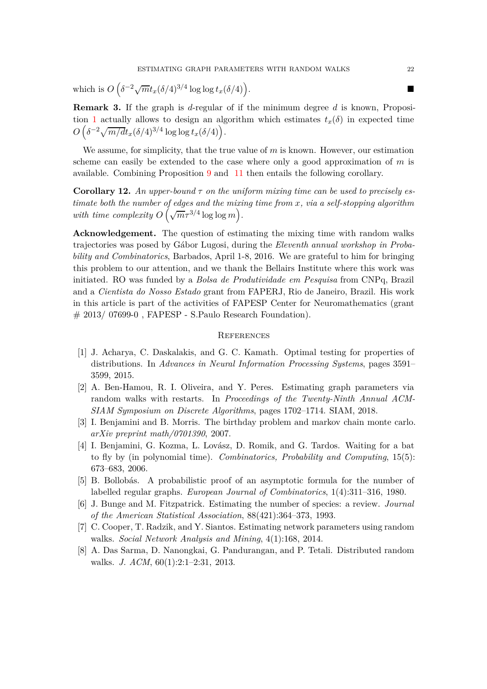which is  $O\left(\delta^{-2}\sqrt{m}t_x(\delta/4)^{3/4}\log\log t_x(\delta/4)\right)$ .

**Remark 3.** If the graph is *d*-regular of if the minimum degree *d* is known, Proposi-tion [1](#page-5-0) actually allows to design an algorithm which estimates  $t_x(\delta)$  in expected time  $O(\delta^{-2}\sqrt{m/dt_x}(\delta/4)^{3/4}\log \log t_x(\delta/4)).$ 

We assume, for simplicity, that the true value of m is known. However, our estimation scheme can easily be extended to the case where only a good approximation of *m* is available. Combining Proposition [9](#page-17-2) and [11](#page-19-1) then entails the following corollary.

**Corollary 12.** An upper-bound  $\tau$  on the uniform mixing time can be used to precisely es*timate both the number of edges and the mixing time from x, via a self-stopping algorithm* with time complexity  $O\left(\sqrt{m}\tau^{3/4}\log\log m\right)$ .

**Acknowledgement.** The question of estimating the mixing time with random walks trajectories was posed by Gábor Lugosi, during the *Eleventh annual workshop in Probability and Combinatorics*, Barbados, April 1-8, 2016. We are grateful to him for bringing this problem to our attention, and we thank the Bellairs Institute where this work was initiated. RO was funded by a *Bolsa de Produtividade em Pesquisa* from CNPq, Brazil and a *Cientista do Nosso Estado* grant from FAPERJ, Rio de Janeiro, Brazil. His work in this article is part of the activities of FAPESP Center for Neuromathematics (grant # 2013/ 07699-0 , FAPESP - S.Paulo Research Foundation).

## **REFERENCES**

- <span id="page-21-6"></span>[1] J. Acharya, C. Daskalakis, and G. C. Kamath. Optimal testing for properties of distributions. In *Advances in Neural Information Processing Systems*, pages 3591– 3599, 2015.
- <span id="page-21-1"></span>[2] A. Ben-Hamou, R. I. Oliveira, and Y. Peres. Estimating graph parameters via random walks with restarts. In *Proceedings of the Twenty-Ninth Annual ACM-SIAM Symposium on Discrete Algorithms*, pages 1702–1714. SIAM, 2018.
- <span id="page-21-4"></span>[3] I. Benjamini and B. Morris. The birthday problem and markov chain monte carlo. *arXiv preprint math/0701390*, 2007.
- <span id="page-21-3"></span>[4] I. Benjamini, G. Kozma, L. Lovász, D. Romik, and G. Tardos. Waiting for a bat to fly by (in polynomial time). *Combinatorics, Probability and Computing*, 15(5): 673–683, 2006.
- <span id="page-21-7"></span>[5] B. Bollobás. A probabilistic proof of an asymptotic formula for the number of labelled regular graphs. *European Journal of Combinatorics*, 1(4):311–316, 1980.
- <span id="page-21-5"></span>[6] J. Bunge and M. Fitzpatrick. Estimating the number of species: a review. *Journal of the American Statistical Association*, 88(421):364–373, 1993.
- <span id="page-21-2"></span>[7] C. Cooper, T. Radzik, and Y. Siantos. Estimating network parameters using random walks. *Social Network Analysis and Mining*, 4(1):168, 2014.
- <span id="page-21-0"></span>[8] A. Das Sarma, D. Nanongkai, G. Pandurangan, and P. Tetali. Distributed random walks. *J. ACM*, 60(1):2:1–2:31, 2013.